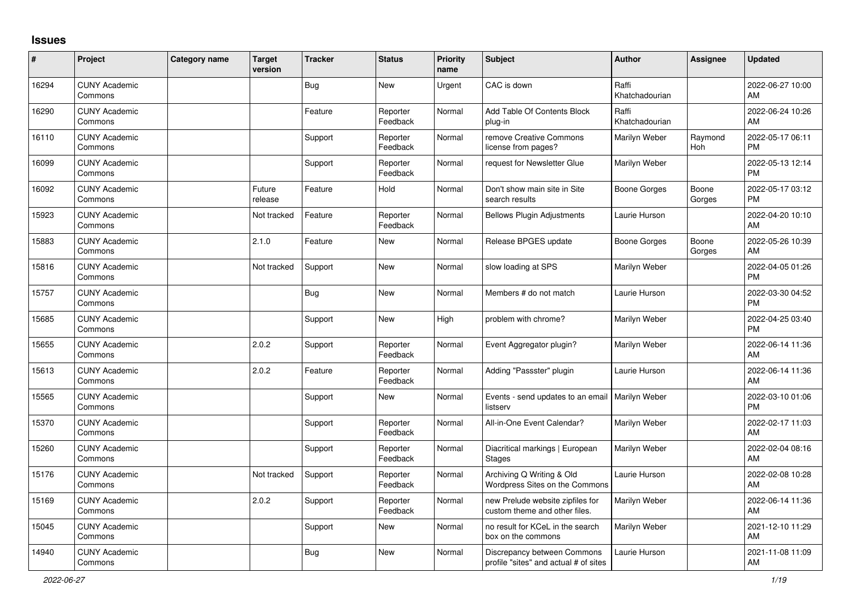## **Issues**

| $\vert$ # | Project                         | Category name | <b>Target</b><br>version | <b>Tracker</b> | <b>Status</b>        | <b>Priority</b><br>name | <b>Subject</b>                                                       | Author                  | Assignee        | <b>Updated</b>                |
|-----------|---------------------------------|---------------|--------------------------|----------------|----------------------|-------------------------|----------------------------------------------------------------------|-------------------------|-----------------|-------------------------------|
| 16294     | <b>CUNY Academic</b><br>Commons |               |                          | <b>Bug</b>     | <b>New</b>           | Urgent                  | CAC is down                                                          | Raffi<br>Khatchadourian |                 | 2022-06-27 10:00<br>AM        |
| 16290     | <b>CUNY Academic</b><br>Commons |               |                          | Feature        | Reporter<br>Feedback | Normal                  | Add Table Of Contents Block<br>plug-in                               | Raffi<br>Khatchadourian |                 | 2022-06-24 10:26<br>AM        |
| 16110     | <b>CUNY Academic</b><br>Commons |               |                          | Support        | Reporter<br>Feedback | Normal                  | remove Creative Commons<br>license from pages?                       | Marilyn Weber           | Raymond<br>Hoh  | 2022-05-17 06:11<br><b>PM</b> |
| 16099     | <b>CUNY Academic</b><br>Commons |               |                          | Support        | Reporter<br>Feedback | Normal                  | request for Newsletter Glue                                          | Marilyn Weber           |                 | 2022-05-13 12:14<br><b>PM</b> |
| 16092     | <b>CUNY Academic</b><br>Commons |               | Future<br>release        | Feature        | Hold                 | Normal                  | Don't show main site in Site<br>search results                       | <b>Boone Gorges</b>     | Boone<br>Gorges | 2022-05-17 03:12<br><b>PM</b> |
| 15923     | <b>CUNY Academic</b><br>Commons |               | Not tracked              | Feature        | Reporter<br>Feedback | Normal                  | <b>Bellows Plugin Adjustments</b>                                    | Laurie Hurson           |                 | 2022-04-20 10:10<br>AM        |
| 15883     | <b>CUNY Academic</b><br>Commons |               | 2.1.0                    | Feature        | <b>New</b>           | Normal                  | Release BPGES update                                                 | <b>Boone Gorges</b>     | Boone<br>Gorges | 2022-05-26 10:39<br>AM        |
| 15816     | <b>CUNY Academic</b><br>Commons |               | Not tracked              | Support        | New                  | Normal                  | slow loading at SPS                                                  | Marilyn Weber           |                 | 2022-04-05 01:26<br><b>PM</b> |
| 15757     | <b>CUNY Academic</b><br>Commons |               |                          | <b>Bug</b>     | New                  | Normal                  | Members # do not match                                               | Laurie Hurson           |                 | 2022-03-30 04:52<br><b>PM</b> |
| 15685     | <b>CUNY Academic</b><br>Commons |               |                          | Support        | <b>New</b>           | High                    | problem with chrome?                                                 | Marilyn Weber           |                 | 2022-04-25 03:40<br><b>PM</b> |
| 15655     | <b>CUNY Academic</b><br>Commons |               | 2.0.2                    | Support        | Reporter<br>Feedback | Normal                  | Event Aggregator plugin?                                             | Marilyn Weber           |                 | 2022-06-14 11:36<br>AM        |
| 15613     | <b>CUNY Academic</b><br>Commons |               | 2.0.2                    | Feature        | Reporter<br>Feedback | Normal                  | Adding "Passster" plugin                                             | Laurie Hurson           |                 | 2022-06-14 11:36<br>AM        |
| 15565     | <b>CUNY Academic</b><br>Commons |               |                          | Support        | New                  | Normal                  | Events - send updates to an email<br>listserv                        | <b>Marilyn Weber</b>    |                 | 2022-03-10 01:06<br><b>PM</b> |
| 15370     | <b>CUNY Academic</b><br>Commons |               |                          | Support        | Reporter<br>Feedback | Normal                  | All-in-One Event Calendar?                                           | Marilyn Weber           |                 | 2022-02-17 11:03<br>AM        |
| 15260     | <b>CUNY Academic</b><br>Commons |               |                          | Support        | Reporter<br>Feedback | Normal                  | Diacritical markings   European<br><b>Stages</b>                     | Marilyn Weber           |                 | 2022-02-04 08:16<br>AM        |
| 15176     | <b>CUNY Academic</b><br>Commons |               | Not tracked              | Support        | Reporter<br>Feedback | Normal                  | Archiving Q Writing & Old<br><b>Wordpress Sites on the Commons</b>   | Laurie Hurson           |                 | 2022-02-08 10:28<br>AM        |
| 15169     | <b>CUNY Academic</b><br>Commons |               | 2.0.2                    | Support        | Reporter<br>Feedback | Normal                  | new Prelude website zipfiles for<br>custom theme and other files.    | Marilyn Weber           |                 | 2022-06-14 11:36<br>AM        |
| 15045     | <b>CUNY Academic</b><br>Commons |               |                          | Support        | New                  | Normal                  | no result for KCeL in the search<br>box on the commons               | Marilyn Weber           |                 | 2021-12-10 11:29<br>AM        |
| 14940     | <b>CUNY Academic</b><br>Commons |               |                          | <b>Bug</b>     | <b>New</b>           | Normal                  | Discrepancy between Commons<br>profile "sites" and actual # of sites | Laurie Hurson           |                 | 2021-11-08 11:09<br>AM        |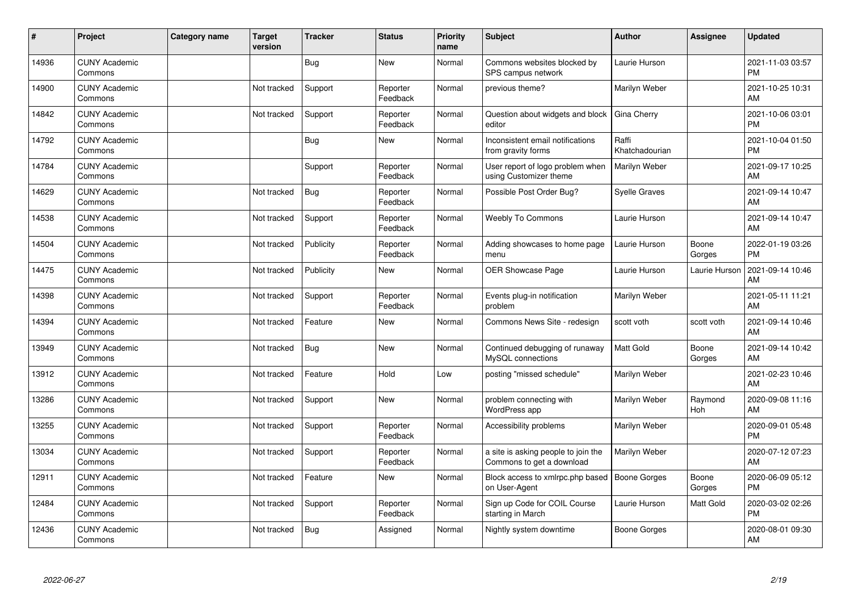| ∦     | Project                         | Category name | <b>Target</b><br>version | <b>Tracker</b> | <b>Status</b>        | <b>Priority</b><br>name | <b>Subject</b>                                                   | <b>Author</b>           | <b>Assignee</b> | <b>Updated</b>                |
|-------|---------------------------------|---------------|--------------------------|----------------|----------------------|-------------------------|------------------------------------------------------------------|-------------------------|-----------------|-------------------------------|
| 14936 | <b>CUNY Academic</b><br>Commons |               |                          | <b>Bug</b>     | <b>New</b>           | Normal                  | Commons websites blocked by<br>SPS campus network                | Laurie Hurson           |                 | 2021-11-03 03:57<br><b>PM</b> |
| 14900 | <b>CUNY Academic</b><br>Commons |               | Not tracked              | Support        | Reporter<br>Feedback | Normal                  | previous theme?                                                  | Marilyn Weber           |                 | 2021-10-25 10:31<br>AM        |
| 14842 | <b>CUNY Academic</b><br>Commons |               | Not tracked              | Support        | Reporter<br>Feedback | Normal                  | Question about widgets and block<br>editor                       | Gina Cherry             |                 | 2021-10-06 03:01<br><b>PM</b> |
| 14792 | <b>CUNY Academic</b><br>Commons |               |                          | <b>Bug</b>     | <b>New</b>           | Normal                  | Inconsistent email notifications<br>from gravity forms           | Raffi<br>Khatchadourian |                 | 2021-10-04 01:50<br><b>PM</b> |
| 14784 | <b>CUNY Academic</b><br>Commons |               |                          | Support        | Reporter<br>Feedback | Normal                  | User report of logo problem when<br>using Customizer theme       | Marilyn Weber           |                 | 2021-09-17 10:25<br>AM        |
| 14629 | <b>CUNY Academic</b><br>Commons |               | Not tracked              | <b>Bug</b>     | Reporter<br>Feedback | Normal                  | Possible Post Order Bug?                                         | <b>Syelle Graves</b>    |                 | 2021-09-14 10:47<br>AM        |
| 14538 | <b>CUNY Academic</b><br>Commons |               | Not tracked              | Support        | Reporter<br>Feedback | Normal                  | <b>Weebly To Commons</b>                                         | Laurie Hurson           |                 | 2021-09-14 10:47<br>AM        |
| 14504 | <b>CUNY Academic</b><br>Commons |               | Not tracked              | Publicity      | Reporter<br>Feedback | Normal                  | Adding showcases to home page<br>menu                            | Laurie Hurson           | Boone<br>Gorges | 2022-01-19 03:26<br><b>PM</b> |
| 14475 | <b>CUNY Academic</b><br>Commons |               | Not tracked              | Publicity      | <b>New</b>           | Normal                  | OER Showcase Page                                                | Laurie Hurson           | Laurie Hurson   | 2021-09-14 10:46<br>AM        |
| 14398 | <b>CUNY Academic</b><br>Commons |               | Not tracked              | Support        | Reporter<br>Feedback | Normal                  | Events plug-in notification<br>problem                           | Marilyn Weber           |                 | 2021-05-11 11:21<br>AM        |
| 14394 | <b>CUNY Academic</b><br>Commons |               | Not tracked              | Feature        | <b>New</b>           | Normal                  | Commons News Site - redesign                                     | scott voth              | scott voth      | 2021-09-14 10:46<br>AM        |
| 13949 | <b>CUNY Academic</b><br>Commons |               | Not tracked              | <b>Bug</b>     | <b>New</b>           | Normal                  | Continued debugging of runaway<br>MySQL connections              | <b>Matt Gold</b>        | Boone<br>Gorges | 2021-09-14 10:42<br>AM        |
| 13912 | <b>CUNY Academic</b><br>Commons |               | Not tracked              | Feature        | Hold                 | Low                     | posting "missed schedule"                                        | Marilyn Weber           |                 | 2021-02-23 10:46<br>AM        |
| 13286 | <b>CUNY Academic</b><br>Commons |               | Not tracked              | Support        | <b>New</b>           | Normal                  | problem connecting with<br>WordPress app                         | Marilyn Weber           | Raymond<br>Hoh  | 2020-09-08 11:16<br>AM        |
| 13255 | <b>CUNY Academic</b><br>Commons |               | Not tracked              | Support        | Reporter<br>Feedback | Normal                  | Accessibility problems                                           | Marilyn Weber           |                 | 2020-09-01 05:48<br><b>PM</b> |
| 13034 | <b>CUNY Academic</b><br>Commons |               | Not tracked              | Support        | Reporter<br>Feedback | Normal                  | a site is asking people to join the<br>Commons to get a download | Marilyn Weber           |                 | 2020-07-12 07:23<br>AM        |
| 12911 | <b>CUNY Academic</b><br>Commons |               | Not tracked              | Feature        | New                  | Normal                  | Block access to xmlrpc.php based<br>on User-Agent                | <b>Boone Gorges</b>     | Boone<br>Gorges | 2020-06-09 05:12<br><b>PM</b> |
| 12484 | <b>CUNY Academic</b><br>Commons |               | Not tracked              | Support        | Reporter<br>Feedback | Normal                  | Sign up Code for COIL Course<br>starting in March                | Laurie Hurson           | Matt Gold       | 2020-03-02 02:26<br><b>PM</b> |
| 12436 | <b>CUNY Academic</b><br>Commons |               | Not tracked              | <b>Bug</b>     | Assigned             | Normal                  | Nightly system downtime                                          | Boone Gorges            |                 | 2020-08-01 09:30<br>AM        |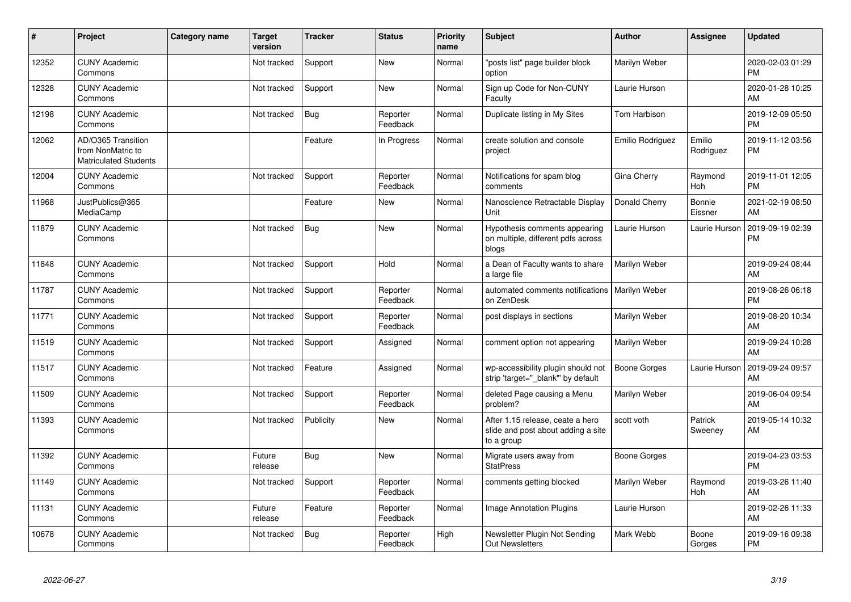| #     | Project                                                                 | <b>Category name</b> | <b>Target</b><br>version | <b>Tracker</b> | <b>Status</b>        | <b>Priority</b><br>name | <b>Subject</b>                                                                       | <b>Author</b>       | <b>Assignee</b>       | <b>Updated</b>                |
|-------|-------------------------------------------------------------------------|----------------------|--------------------------|----------------|----------------------|-------------------------|--------------------------------------------------------------------------------------|---------------------|-----------------------|-------------------------------|
| 12352 | <b>CUNY Academic</b><br>Commons                                         |                      | Not tracked              | Support        | <b>New</b>           | Normal                  | 'posts list" page builder block<br>option                                            | Marilyn Weber       |                       | 2020-02-03 01:29<br><b>PM</b> |
| 12328 | <b>CUNY Academic</b><br>Commons                                         |                      | Not tracked              | Support        | <b>New</b>           | Normal                  | Sign up Code for Non-CUNY<br>Faculty                                                 | Laurie Hurson       |                       | 2020-01-28 10:25<br>AM        |
| 12198 | <b>CUNY Academic</b><br>Commons                                         |                      | Not tracked              | <b>Bug</b>     | Reporter<br>Feedback | Normal                  | Duplicate listing in My Sites                                                        | Tom Harbison        |                       | 2019-12-09 05:50<br>РM        |
| 12062 | AD/O365 Transition<br>from NonMatric to<br><b>Matriculated Students</b> |                      |                          | Feature        | In Progress          | Normal                  | create solution and console<br>project                                               | Emilio Rodriguez    | Emilio<br>Rodriguez   | 2019-11-12 03:56<br>РM        |
| 12004 | <b>CUNY Academic</b><br>Commons                                         |                      | Not tracked              | Support        | Reporter<br>Feedback | Normal                  | Notifications for spam blog<br>comments                                              | Gina Cherry         | Raymond<br>Hoh        | 2019-11-01 12:05<br><b>PM</b> |
| 11968 | JustPublics@365<br>MediaCamp                                            |                      |                          | Feature        | <b>New</b>           | Normal                  | Nanoscience Retractable Display<br>Unit                                              | Donald Cherry       | Bonnie<br>Eissner     | 2021-02-19 08:50<br>AM        |
| 11879 | <b>CUNY Academic</b><br>Commons                                         |                      | Not tracked              | Bug            | <b>New</b>           | Normal                  | Hypothesis comments appearing<br>on multiple, different pdfs across<br>blogs         | Laurie Hurson       | Laurie Hurson         | 2019-09-19 02:39<br>PM        |
| 11848 | <b>CUNY Academic</b><br>Commons                                         |                      | Not tracked              | Support        | Hold                 | Normal                  | a Dean of Faculty wants to share<br>a large file                                     | Marilyn Weber       |                       | 2019-09-24 08:44<br>AM        |
| 11787 | <b>CUNY Academic</b><br>Commons                                         |                      | Not tracked              | Support        | Reporter<br>Feedback | Normal                  | automated comments notifications<br>on ZenDesk                                       | Marilyn Weber       |                       | 2019-08-26 06:18<br><b>PM</b> |
| 11771 | <b>CUNY Academic</b><br>Commons                                         |                      | Not tracked              | Support        | Reporter<br>Feedback | Normal                  | post displays in sections                                                            | Marilyn Weber       |                       | 2019-08-20 10:34<br>AM        |
| 11519 | <b>CUNY Academic</b><br>Commons                                         |                      | Not tracked              | Support        | Assigned             | Normal                  | comment option not appearing                                                         | Marilyn Weber       |                       | 2019-09-24 10:28<br>AM        |
| 11517 | <b>CUNY Academic</b><br>Commons                                         |                      | Not tracked              | Feature        | Assigned             | Normal                  | wp-accessibility plugin should not<br>strip 'target="_blank" by default              | <b>Boone Gorges</b> | Laurie Hurson         | 2019-09-24 09:57<br>AM        |
| 11509 | <b>CUNY Academic</b><br>Commons                                         |                      | Not tracked              | Support        | Reporter<br>Feedback | Normal                  | deleted Page causing a Menu<br>problem?                                              | Marilyn Weber       |                       | 2019-06-04 09:54<br>AM        |
| 11393 | <b>CUNY Academic</b><br>Commons                                         |                      | Not tracked              | Publicity      | New                  | Normal                  | After 1.15 release, ceate a hero<br>slide and post about adding a site<br>to a group | scott voth          | Patrick<br>Sweeney    | 2019-05-14 10:32<br>AM        |
| 11392 | <b>CUNY Academic</b><br>Commons                                         |                      | Future<br>release        | <b>Bug</b>     | <b>New</b>           | Normal                  | Migrate users away from<br><b>StatPress</b>                                          | Boone Gorges        |                       | 2019-04-23 03:53<br><b>PM</b> |
| 11149 | <b>CUNY Academic</b><br>Commons                                         |                      | Not tracked              | Support        | Reporter<br>Feedback | Normal                  | comments getting blocked                                                             | Marilyn Weber       | Raymond<br><b>Hoh</b> | 2019-03-26 11:40<br>AM        |
| 11131 | <b>CUNY Academic</b><br>Commons                                         |                      | Future<br>release        | Feature        | Reporter<br>Feedback | Normal                  | Image Annotation Plugins                                                             | Laurie Hurson       |                       | 2019-02-26 11:33<br>AM        |
| 10678 | <b>CUNY Academic</b><br>Commons                                         |                      | Not tracked              | Bug            | Reporter<br>Feedback | High                    | Newsletter Plugin Not Sending<br><b>Out Newsletters</b>                              | Mark Webb           | Boone<br>Gorges       | 2019-09-16 09:38<br><b>PM</b> |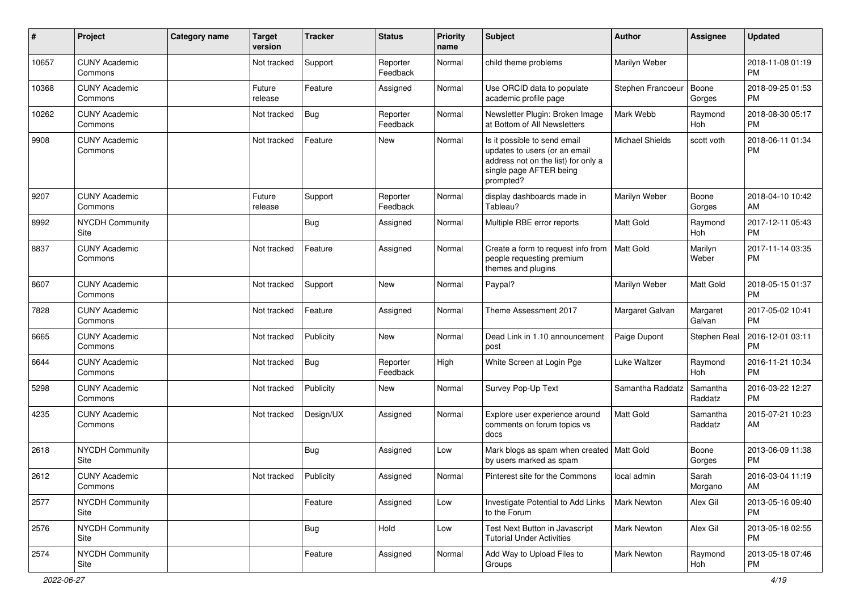| #     | Project                         | <b>Category name</b> | <b>Target</b><br>version | <b>Tracker</b> | <b>Status</b>        | <b>Priority</b><br>name | <b>Subject</b>                                                                                                                               | Author                 | <b>Assignee</b>     | <b>Updated</b>                |
|-------|---------------------------------|----------------------|--------------------------|----------------|----------------------|-------------------------|----------------------------------------------------------------------------------------------------------------------------------------------|------------------------|---------------------|-------------------------------|
| 10657 | <b>CUNY Academic</b><br>Commons |                      | Not tracked              | Support        | Reporter<br>Feedback | Normal                  | child theme problems                                                                                                                         | Marilyn Weber          |                     | 2018-11-08 01:19<br><b>PM</b> |
| 10368 | <b>CUNY Academic</b><br>Commons |                      | Future<br>release        | Feature        | Assigned             | Normal                  | Use ORCID data to populate<br>academic profile page                                                                                          | Stephen Francoeur      | Boone<br>Gorges     | 2018-09-25 01:53<br><b>PM</b> |
| 10262 | <b>CUNY Academic</b><br>Commons |                      | Not tracked              | Bug            | Reporter<br>Feedback | Normal                  | Newsletter Plugin: Broken Image<br>at Bottom of All Newsletters                                                                              | Mark Webb              | Raymond<br>Hoh      | 2018-08-30 05:17<br>PM        |
| 9908  | <b>CUNY Academic</b><br>Commons |                      | Not tracked              | Feature        | New                  | Normal                  | Is it possible to send email<br>updates to users (or an email<br>address not on the list) for only a<br>single page AFTER being<br>prompted? | <b>Michael Shields</b> | scott voth          | 2018-06-11 01:34<br><b>PM</b> |
| 9207  | <b>CUNY Academic</b><br>Commons |                      | Future<br>release        | Support        | Reporter<br>Feedback | Normal                  | display dashboards made in<br>Tableau?                                                                                                       | Marilyn Weber          | Boone<br>Gorges     | 2018-04-10 10:42<br>AM        |
| 8992  | <b>NYCDH Community</b><br>Site  |                      |                          | <b>Bug</b>     | Assigned             | Normal                  | Multiple RBE error reports                                                                                                                   | <b>Matt Gold</b>       | Raymond<br>Hoh      | 2017-12-11 05:43<br><b>PM</b> |
| 8837  | <b>CUNY Academic</b><br>Commons |                      | Not tracked              | Feature        | Assigned             | Normal                  | Create a form to request info from<br>people requesting premium<br>themes and plugins                                                        | Matt Gold              | Marilyn<br>Weber    | 2017-11-14 03:35<br><b>PM</b> |
| 8607  | <b>CUNY Academic</b><br>Commons |                      | Not tracked              | Support        | <b>New</b>           | Normal                  | Paypal?                                                                                                                                      | Marilyn Weber          | Matt Gold           | 2018-05-15 01:37<br><b>PM</b> |
| 7828  | <b>CUNY Academic</b><br>Commons |                      | Not tracked              | Feature        | Assigned             | Normal                  | Theme Assessment 2017                                                                                                                        | Margaret Galvan        | Margaret<br>Galvan  | 2017-05-02 10:41<br><b>PM</b> |
| 6665  | <b>CUNY Academic</b><br>Commons |                      | Not tracked              | Publicity      | New                  | Normal                  | Dead Link in 1.10 announcement<br>post                                                                                                       | Paige Dupont           | Stephen Real        | 2016-12-01 03:11<br><b>PM</b> |
| 6644  | <b>CUNY Academic</b><br>Commons |                      | Not tracked              | <b>Bug</b>     | Reporter<br>Feedback | High                    | White Screen at Login Pge                                                                                                                    | Luke Waltzer           | Raymond<br>Hoh      | 2016-11-21 10:34<br><b>PM</b> |
| 5298  | <b>CUNY Academic</b><br>Commons |                      | Not tracked              | Publicity      | New                  | Normal                  | Survey Pop-Up Text                                                                                                                           | Samantha Raddatz       | Samantha<br>Raddatz | 2016-03-22 12:27<br><b>PM</b> |
| 4235  | <b>CUNY Academic</b><br>Commons |                      | Not tracked              | Design/UX      | Assigned             | Normal                  | Explore user experience around<br>comments on forum topics vs<br>docs                                                                        | <b>Matt Gold</b>       | Samantha<br>Raddatz | 2015-07-21 10:23<br>AM        |
| 2618  | <b>NYCDH Community</b><br>Site  |                      |                          | Bug            | Assigned             | Low                     | Mark blogs as spam when created   Matt Gold<br>by users marked as spam                                                                       |                        | Boone<br>Gorges     | 2013-06-09 11:38<br>PM        |
| 2612  | <b>CUNY Academic</b><br>Commons |                      | Not tracked              | Publicity      | Assigned             | Normal                  | Pinterest site for the Commons                                                                                                               | local admin            | Sarah<br>Morgano    | 2016-03-04 11:19<br>AM        |
| 2577  | NYCDH Community<br>Site         |                      |                          | Feature        | Assigned             | Low                     | Investigate Potential to Add Links<br>to the Forum                                                                                           | Mark Newton            | Alex Gil            | 2013-05-16 09:40<br>PM        |
| 2576  | NYCDH Community<br>Site         |                      |                          | <b>Bug</b>     | Hold                 | Low                     | Test Next Button in Javascript<br><b>Tutorial Under Activities</b>                                                                           | Mark Newton            | Alex Gil            | 2013-05-18 02:55<br><b>PM</b> |
| 2574  | NYCDH Community<br>Site         |                      |                          | Feature        | Assigned             | Normal                  | Add Way to Upload Files to<br>Groups                                                                                                         | <b>Mark Newton</b>     | Raymond<br>Hoh      | 2013-05-18 07:46<br>PM        |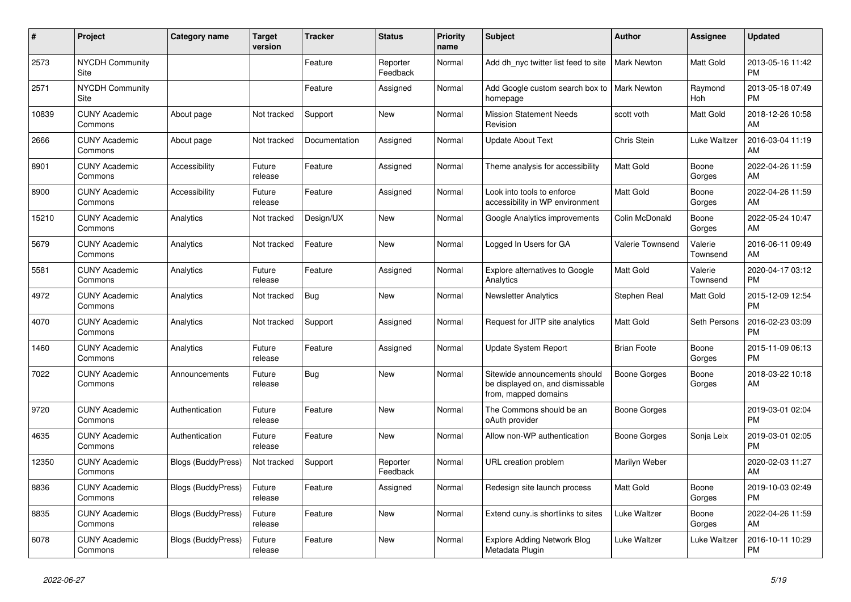| #     | Project                         | <b>Category name</b>      | Target<br>version | <b>Tracker</b> | <b>Status</b>        | <b>Priority</b><br>name | <b>Subject</b>                                                                            | <b>Author</b>       | <b>Assignee</b>     | <b>Updated</b>                |
|-------|---------------------------------|---------------------------|-------------------|----------------|----------------------|-------------------------|-------------------------------------------------------------------------------------------|---------------------|---------------------|-------------------------------|
| 2573  | <b>NYCDH Community</b><br>Site  |                           |                   | Feature        | Reporter<br>Feedback | Normal                  | Add dh nyc twitter list feed to site                                                      | <b>Mark Newton</b>  | Matt Gold           | 2013-05-16 11:42<br><b>PM</b> |
| 2571  | <b>NYCDH Community</b><br>Site  |                           |                   | Feature        | Assigned             | Normal                  | Add Google custom search box to<br>homepage                                               | <b>Mark Newton</b>  | Raymond<br>Hoh      | 2013-05-18 07:49<br><b>PM</b> |
| 10839 | <b>CUNY Academic</b><br>Commons | About page                | Not tracked       | Support        | New                  | Normal                  | <b>Mission Statement Needs</b><br>Revision                                                | scott voth          | Matt Gold           | 2018-12-26 10:58<br>AM        |
| 2666  | <b>CUNY Academic</b><br>Commons | About page                | Not tracked       | Documentation  | Assigned             | Normal                  | <b>Update About Text</b>                                                                  | Chris Stein         | Luke Waltzer        | 2016-03-04 11:19<br>AM        |
| 8901  | <b>CUNY Academic</b><br>Commons | Accessibility             | Future<br>release | Feature        | Assigned             | Normal                  | Theme analysis for accessibility                                                          | <b>Matt Gold</b>    | Boone<br>Gorges     | 2022-04-26 11:59<br>AM        |
| 8900  | <b>CUNY Academic</b><br>Commons | Accessibility             | Future<br>release | Feature        | Assigned             | Normal                  | Look into tools to enforce<br>accessibility in WP environment                             | Matt Gold           | Boone<br>Gorges     | 2022-04-26 11:59<br>AM        |
| 15210 | <b>CUNY Academic</b><br>Commons | Analytics                 | Not tracked       | Design/UX      | <b>New</b>           | Normal                  | Google Analytics improvements                                                             | Colin McDonald      | Boone<br>Gorges     | 2022-05-24 10:47<br>AM        |
| 5679  | <b>CUNY Academic</b><br>Commons | Analytics                 | Not tracked       | Feature        | <b>New</b>           | Normal                  | Logged In Users for GA                                                                    | Valerie Townsend    | Valerie<br>Townsend | 2016-06-11 09:49<br>AM        |
| 5581  | <b>CUNY Academic</b><br>Commons | Analytics                 | Future<br>release | Feature        | Assigned             | Normal                  | <b>Explore alternatives to Google</b><br>Analytics                                        | Matt Gold           | Valerie<br>Townsend | 2020-04-17 03:12<br><b>PM</b> |
| 4972  | <b>CUNY Academic</b><br>Commons | Analytics                 | Not tracked       | <b>Bug</b>     | <b>New</b>           | Normal                  | <b>Newsletter Analytics</b>                                                               | Stephen Real        | Matt Gold           | 2015-12-09 12:54<br><b>PM</b> |
| 4070  | <b>CUNY Academic</b><br>Commons | Analytics                 | Not tracked       | Support        | Assigned             | Normal                  | Request for JITP site analytics                                                           | Matt Gold           | Seth Persons        | 2016-02-23 03:09<br><b>PM</b> |
| 1460  | <b>CUNY Academic</b><br>Commons | Analytics                 | Future<br>release | Feature        | Assigned             | Normal                  | Update System Report                                                                      | <b>Brian Foote</b>  | Boone<br>Gorges     | 2015-11-09 06:13<br><b>PM</b> |
| 7022  | <b>CUNY Academic</b><br>Commons | Announcements             | Future<br>release | Bug            | <b>New</b>           | Normal                  | Sitewide announcements should<br>be displayed on, and dismissable<br>from, mapped domains | <b>Boone Gorges</b> | Boone<br>Gorges     | 2018-03-22 10:18<br>AM        |
| 9720  | <b>CUNY Academic</b><br>Commons | Authentication            | Future<br>release | Feature        | New                  | Normal                  | The Commons should be an<br>oAuth provider                                                | Boone Gorges        |                     | 2019-03-01 02:04<br><b>PM</b> |
| 4635  | <b>CUNY Academic</b><br>Commons | Authentication            | Future<br>release | Feature        | New                  | Normal                  | Allow non-WP authentication                                                               | Boone Gorges        | Sonja Leix          | 2019-03-01 02:05<br><b>PM</b> |
| 12350 | <b>CUNY Academic</b><br>Commons | <b>Blogs (BuddyPress)</b> | Not tracked       | Support        | Reporter<br>Feedback | Normal                  | URL creation problem                                                                      | Marilyn Weber       |                     | 2020-02-03 11:27<br>AM        |
| 8836  | <b>CUNY Academic</b><br>Commons | Blogs (BuddyPress)        | Future<br>release | Feature        | Assigned             | Normal                  | Redesign site launch process                                                              | Matt Gold           | Boone<br>Gorges     | 2019-10-03 02:49<br><b>PM</b> |
| 8835  | <b>CUNY Academic</b><br>Commons | <b>Blogs (BuddyPress)</b> | Future<br>release | Feature        | <b>New</b>           | Normal                  | Extend cuny.is shortlinks to sites                                                        | Luke Waltzer        | Boone<br>Gorges     | 2022-04-26 11:59<br>AM        |
| 6078  | <b>CUNY Academic</b><br>Commons | <b>Blogs (BuddyPress)</b> | Future<br>release | Feature        | <b>New</b>           | Normal                  | <b>Explore Adding Network Blog</b><br>Metadata Plugin                                     | Luke Waltzer        | Luke Waltzer        | 2016-10-11 10:29<br><b>PM</b> |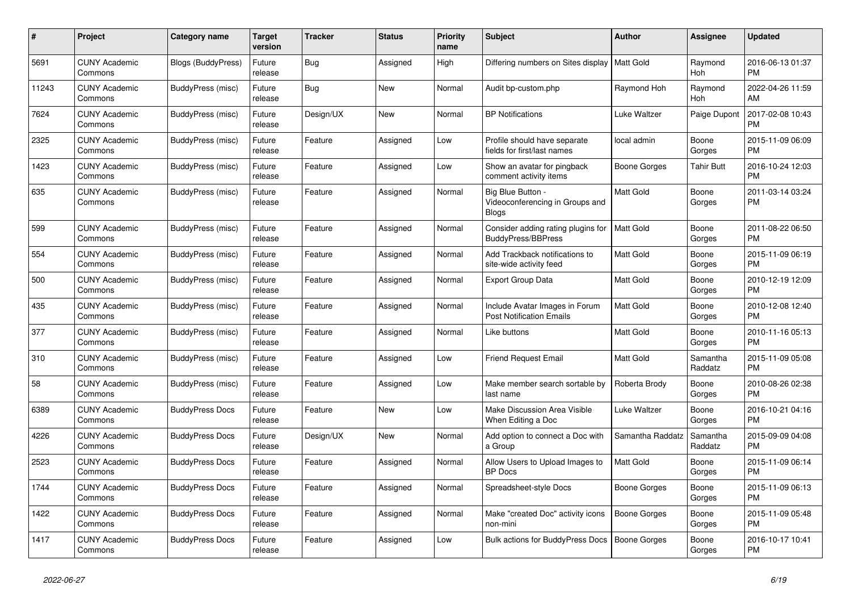| $\pmb{\#}$ | <b>Project</b>                  | Category name             | <b>Target</b><br>version | <b>Tracker</b> | <b>Status</b> | <b>Priority</b><br>name | <b>Subject</b>                                                       | <b>Author</b>       | <b>Assignee</b>       | <b>Updated</b>                |
|------------|---------------------------------|---------------------------|--------------------------|----------------|---------------|-------------------------|----------------------------------------------------------------------|---------------------|-----------------------|-------------------------------|
| 5691       | <b>CUNY Academic</b><br>Commons | <b>Blogs (BuddyPress)</b> | Future<br>release        | <b>Bug</b>     | Assigned      | High                    | Differing numbers on Sites display   Matt Gold                       |                     | Raymond<br><b>Hoh</b> | 2016-06-13 01:37<br><b>PM</b> |
| 11243      | <b>CUNY Academic</b><br>Commons | BuddyPress (misc)         | Future<br>release        | Bug            | <b>New</b>    | Normal                  | Audit bp-custom.php                                                  | Raymond Hoh         | Raymond<br>Hoh        | 2022-04-26 11:59<br>AM        |
| 7624       | <b>CUNY Academic</b><br>Commons | BuddyPress (misc)         | Future<br>release        | Design/UX      | <b>New</b>    | Normal                  | <b>BP Notifications</b>                                              | Luke Waltzer        | Paige Dupont          | 2017-02-08 10:43<br><b>PM</b> |
| 2325       | <b>CUNY Academic</b><br>Commons | BuddyPress (misc)         | Future<br>release        | Feature        | Assigned      | Low                     | Profile should have separate<br>fields for first/last names          | local admin         | Boone<br>Gorges       | 2015-11-09 06:09<br><b>PM</b> |
| 1423       | <b>CUNY Academic</b><br>Commons | BuddyPress (misc)         | Future<br>release        | Feature        | Assigned      | Low                     | Show an avatar for pingback<br>comment activity items                | <b>Boone Gorges</b> | <b>Tahir Butt</b>     | 2016-10-24 12:03<br><b>PM</b> |
| 635        | <b>CUNY Academic</b><br>Commons | BuddyPress (misc)         | Future<br>release        | Feature        | Assigned      | Normal                  | Big Blue Button -<br>Videoconferencing in Groups and<br><b>Blogs</b> | Matt Gold           | Boone<br>Gorges       | 2011-03-14 03:24<br><b>PM</b> |
| 599        | <b>CUNY Academic</b><br>Commons | BuddyPress (misc)         | Future<br>release        | Feature        | Assigned      | Normal                  | Consider adding rating plugins for<br><b>BuddyPress/BBPress</b>      | <b>Matt Gold</b>    | Boone<br>Gorges       | 2011-08-22 06:50<br><b>PM</b> |
| 554        | <b>CUNY Academic</b><br>Commons | BuddyPress (misc)         | Future<br>release        | Feature        | Assigned      | Normal                  | Add Trackback notifications to<br>site-wide activity feed            | <b>Matt Gold</b>    | Boone<br>Gorges       | 2015-11-09 06:19<br><b>PM</b> |
| 500        | <b>CUNY Academic</b><br>Commons | BuddyPress (misc)         | Future<br>release        | Feature        | Assigned      | Normal                  | <b>Export Group Data</b>                                             | <b>Matt Gold</b>    | Boone<br>Gorges       | 2010-12-19 12:09<br><b>PM</b> |
| 435        | <b>CUNY Academic</b><br>Commons | <b>BuddyPress (misc)</b>  | Future<br>release        | Feature        | Assigned      | Normal                  | Include Avatar Images in Forum<br><b>Post Notification Emails</b>    | <b>Matt Gold</b>    | Boone<br>Gorges       | 2010-12-08 12:40<br><b>PM</b> |
| 377        | <b>CUNY Academic</b><br>Commons | BuddyPress (misc)         | Future<br>release        | Feature        | Assigned      | Normal                  | Like buttons                                                         | Matt Gold           | Boone<br>Gorges       | 2010-11-16 05:13<br><b>PM</b> |
| 310        | <b>CUNY Academic</b><br>Commons | BuddyPress (misc)         | Future<br>release        | Feature        | Assigned      | Low                     | <b>Friend Request Email</b>                                          | <b>Matt Gold</b>    | Samantha<br>Raddatz   | 2015-11-09 05:08<br><b>PM</b> |
| 58         | <b>CUNY Academic</b><br>Commons | BuddyPress (misc)         | Future<br>release        | Feature        | Assigned      | Low                     | Make member search sortable by<br>last name                          | Roberta Brody       | Boone<br>Gorges       | 2010-08-26 02:38<br><b>PM</b> |
| 6389       | <b>CUNY Academic</b><br>Commons | <b>BuddyPress Docs</b>    | Future<br>release        | Feature        | <b>New</b>    | Low                     | Make Discussion Area Visible<br>When Editing a Doc                   | Luke Waltzer        | Boone<br>Gorges       | 2016-10-21 04:16<br><b>PM</b> |
| 4226       | <b>CUNY Academic</b><br>Commons | <b>BuddyPress Docs</b>    | Future<br>release        | Design/UX      | New           | Normal                  | Add option to connect a Doc with<br>a Group                          | Samantha Raddatz    | Samantha<br>Raddatz   | 2015-09-09 04:08<br><b>PM</b> |
| 2523       | <b>CUNY Academic</b><br>Commons | <b>BuddyPress Docs</b>    | Future<br>release        | Feature        | Assigned      | Normal                  | Allow Users to Upload Images to<br><b>BP</b> Docs                    | <b>Matt Gold</b>    | Boone<br>Gorges       | 2015-11-09 06:14<br><b>PM</b> |
| 1744       | <b>CUNY Academic</b><br>Commons | <b>BuddyPress Docs</b>    | Future<br>release        | Feature        | Assigned      | Normal                  | Spreadsheet-style Docs                                               | Boone Gorges        | Boone<br>Gorges       | 2015-11-09 06:13<br><b>PM</b> |
| 1422       | <b>CUNY Academic</b><br>Commons | <b>BuddyPress Docs</b>    | Future<br>release        | Feature        | Assigned      | Normal                  | Make "created Doc" activity icons<br>non-mini                        | <b>Boone Gorges</b> | Boone<br>Gorges       | 2015-11-09 05:48<br><b>PM</b> |
| 1417       | <b>CUNY Academic</b><br>Commons | <b>BuddyPress Docs</b>    | Future<br>release        | Feature        | Assigned      | Low                     | Bulk actions for BuddyPress Docs                                     | <b>Boone Gorges</b> | Boone<br>Gorges       | 2016-10-17 10:41<br><b>PM</b> |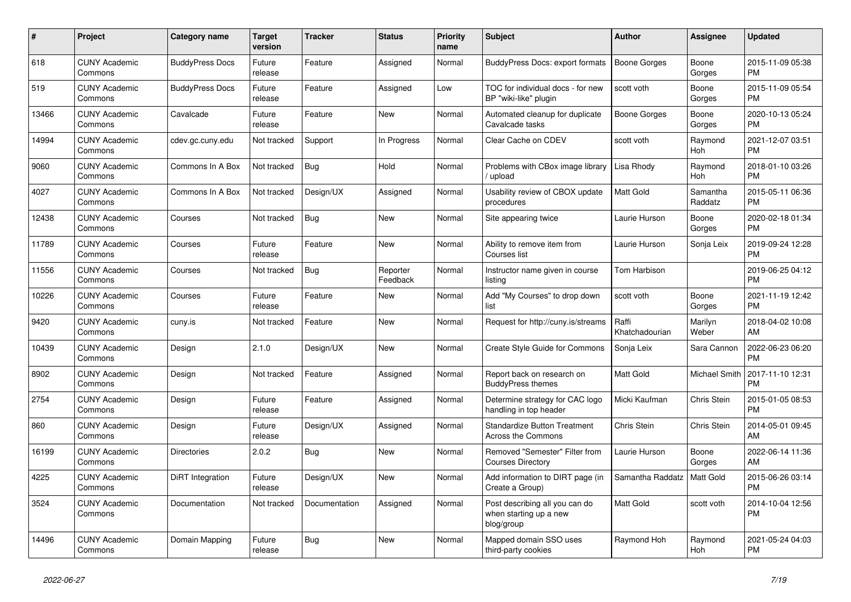| #     | Project                         | <b>Category name</b>   | <b>Target</b><br>version | <b>Tracker</b> | <b>Status</b>        | <b>Priority</b><br>name | <b>Subject</b>                                                         | <b>Author</b>           | Assignee            | <b>Updated</b>                |
|-------|---------------------------------|------------------------|--------------------------|----------------|----------------------|-------------------------|------------------------------------------------------------------------|-------------------------|---------------------|-------------------------------|
| 618   | <b>CUNY Academic</b><br>Commons | <b>BuddyPress Docs</b> | Future<br>release        | Feature        | Assigned             | Normal                  | <b>BuddyPress Docs: export formats</b>                                 | <b>Boone Gorges</b>     | Boone<br>Gorges     | 2015-11-09 05:38<br><b>PM</b> |
| 519   | <b>CUNY Academic</b><br>Commons | <b>BuddyPress Docs</b> | Future<br>release        | Feature        | Assigned             | Low                     | TOC for individual docs - for new<br>BP "wiki-like" plugin             | scott voth              | Boone<br>Gorges     | 2015-11-09 05:54<br><b>PM</b> |
| 13466 | <b>CUNY Academic</b><br>Commons | Cavalcade              | Future<br>release        | Feature        | New                  | Normal                  | Automated cleanup for duplicate<br>Cavalcade tasks                     | Boone Gorges            | Boone<br>Gorges     | 2020-10-13 05:24<br><b>PM</b> |
| 14994 | <b>CUNY Academic</b><br>Commons | cdev.gc.cuny.edu       | Not tracked              | Support        | In Progress          | Normal                  | Clear Cache on CDEV                                                    | scott voth              | Raymond<br>Hoh      | 2021-12-07 03:51<br><b>PM</b> |
| 9060  | <b>CUNY Academic</b><br>Commons | Commons In A Box       | Not tracked              | Bug            | Hold                 | Normal                  | Problems with CBox image library<br>upload                             | Lisa Rhody              | Raymond<br>Hoh      | 2018-01-10 03:26<br><b>PM</b> |
| 4027  | <b>CUNY Academic</b><br>Commons | Commons In A Box       | Not tracked              | Design/UX      | Assigned             | Normal                  | Usability review of CBOX update<br>procedures                          | Matt Gold               | Samantha<br>Raddatz | 2015-05-11 06:36<br><b>PM</b> |
| 12438 | <b>CUNY Academic</b><br>Commons | Courses                | Not tracked              | <b>Bug</b>     | <b>New</b>           | Normal                  | Site appearing twice                                                   | Laurie Hurson           | Boone<br>Gorges     | 2020-02-18 01:34<br><b>PM</b> |
| 11789 | <b>CUNY Academic</b><br>Commons | Courses                | Future<br>release        | Feature        | <b>New</b>           | Normal                  | Ability to remove item from<br>Courses list                            | Laurie Hurson           | Sonja Leix          | 2019-09-24 12:28<br><b>PM</b> |
| 11556 | <b>CUNY Academic</b><br>Commons | Courses                | Not tracked              | <b>Bug</b>     | Reporter<br>Feedback | Normal                  | Instructor name given in course<br>listing                             | Tom Harbison            |                     | 2019-06-25 04:12<br><b>PM</b> |
| 10226 | <b>CUNY Academic</b><br>Commons | Courses                | Future<br>release        | Feature        | <b>New</b>           | Normal                  | Add "My Courses" to drop down<br>list                                  | scott voth              | Boone<br>Gorges     | 2021-11-19 12:42<br><b>PM</b> |
| 9420  | <b>CUNY Academic</b><br>Commons | cuny.is                | Not tracked              | Feature        | <b>New</b>           | Normal                  | Request for http://cuny.is/streams                                     | Raffi<br>Khatchadourian | Marilyn<br>Weber    | 2018-04-02 10:08<br>AM        |
| 10439 | <b>CUNY Academic</b><br>Commons | Design                 | 2.1.0                    | Design/UX      | <b>New</b>           | Normal                  | Create Style Guide for Commons                                         | Sonja Leix              | Sara Cannon         | 2022-06-23 06:20<br><b>PM</b> |
| 8902  | <b>CUNY Academic</b><br>Commons | Design                 | Not tracked              | Feature        | Assigned             | Normal                  | Report back on research on<br><b>BuddyPress themes</b>                 | <b>Matt Gold</b>        | Michael Smith       | 2017-11-10 12:31<br><b>PM</b> |
| 2754  | <b>CUNY Academic</b><br>Commons | Design                 | Future<br>release        | Feature        | Assigned             | Normal                  | Determine strategy for CAC logo<br>handling in top header              | Micki Kaufman           | Chris Stein         | 2015-01-05 08:53<br><b>PM</b> |
| 860   | <b>CUNY Academic</b><br>Commons | Design                 | Future<br>release        | Design/UX      | Assigned             | Normal                  | <b>Standardize Button Treatment</b><br>Across the Commons              | Chris Stein             | Chris Stein         | 2014-05-01 09:45<br>AM        |
| 16199 | <b>CUNY Academic</b><br>Commons | <b>Directories</b>     | 2.0.2                    | <b>Bug</b>     | <b>New</b>           | Normal                  | Removed "Semester" Filter from<br><b>Courses Directory</b>             | Laurie Hurson           | Boone<br>Gorges     | 2022-06-14 11:36<br>AM        |
| 4225  | <b>CUNY Academic</b><br>Commons | DiRT Integration       | Future<br>release        | Design/UX      | <b>New</b>           | Normal                  | Add information to DIRT page (in<br>Create a Group)                    | Samantha Raddatz        | Matt Gold           | 2015-06-26 03:14<br><b>PM</b> |
| 3524  | <b>CUNY Academic</b><br>Commons | Documentation          | Not tracked              | Documentation  | Assigned             | Normal                  | Post describing all you can do<br>when starting up a new<br>blog/group | Matt Gold               | scott voth          | 2014-10-04 12:56<br><b>PM</b> |
| 14496 | <b>CUNY Academic</b><br>Commons | Domain Mapping         | Future<br>release        | <b>Bug</b>     | <b>New</b>           | Normal                  | Mapped domain SSO uses<br>third-party cookies                          | Raymond Hoh             | Raymond<br>Hoh      | 2021-05-24 04:03<br><b>PM</b> |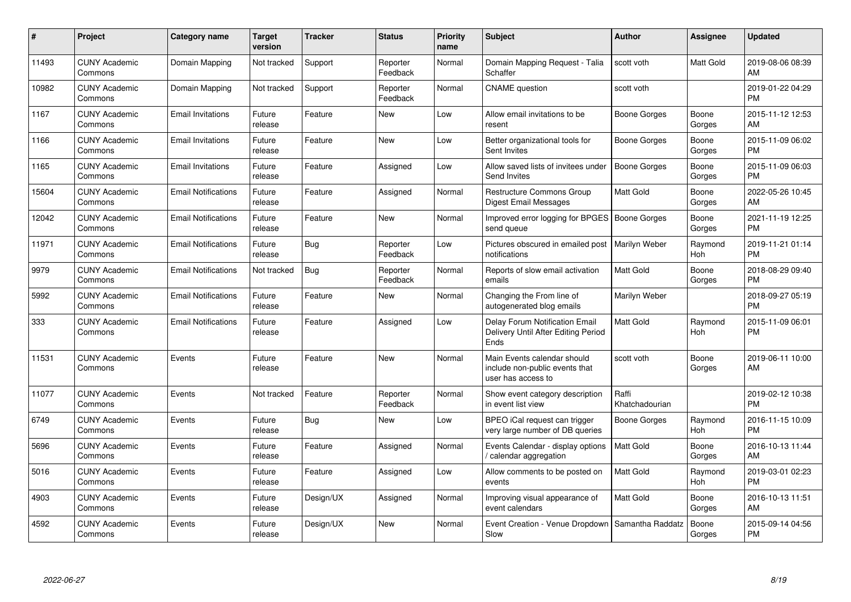| #     | Project                         | <b>Category name</b>       | <b>Target</b><br>version | <b>Tracker</b> | <b>Status</b>        | <b>Priority</b><br>name | <b>Subject</b>                                                                      | <b>Author</b>           | <b>Assignee</b> | <b>Updated</b>                |
|-------|---------------------------------|----------------------------|--------------------------|----------------|----------------------|-------------------------|-------------------------------------------------------------------------------------|-------------------------|-----------------|-------------------------------|
| 11493 | <b>CUNY Academic</b><br>Commons | Domain Mapping             | Not tracked              | Support        | Reporter<br>Feedback | Normal                  | Domain Mapping Request - Talia<br>Schaffer                                          | scott voth              | Matt Gold       | 2019-08-06 08:39<br>AM        |
| 10982 | <b>CUNY Academic</b><br>Commons | Domain Mapping             | Not tracked              | Support        | Reporter<br>Feedback | Normal                  | <b>CNAME</b> question                                                               | scott voth              |                 | 2019-01-22 04:29<br><b>PM</b> |
| 1167  | <b>CUNY Academic</b><br>Commons | <b>Email Invitations</b>   | Future<br>release        | Feature        | <b>New</b>           | Low                     | Allow email invitations to be<br>resent                                             | Boone Gorges            | Boone<br>Gorges | 2015-11-12 12:53<br>AM        |
| 1166  | <b>CUNY Academic</b><br>Commons | <b>Email Invitations</b>   | Future<br>release        | Feature        | New                  | Low                     | Better organizational tools for<br>Sent Invites                                     | Boone Gorges            | Boone<br>Gorges | 2015-11-09 06:02<br><b>PM</b> |
| 1165  | <b>CUNY Academic</b><br>Commons | <b>Email Invitations</b>   | Future<br>release        | Feature        | Assigned             | Low                     | Allow saved lists of invitees under<br>Send Invites                                 | <b>Boone Gorges</b>     | Boone<br>Gorges | 2015-11-09 06:03<br><b>PM</b> |
| 15604 | <b>CUNY Academic</b><br>Commons | <b>Email Notifications</b> | Future<br>release        | Feature        | Assigned             | Normal                  | <b>Restructure Commons Group</b><br><b>Digest Email Messages</b>                    | Matt Gold               | Boone<br>Gorges | 2022-05-26 10:45<br>AM        |
| 12042 | <b>CUNY Academic</b><br>Commons | <b>Email Notifications</b> | Future<br>release        | Feature        | <b>New</b>           | Normal                  | Improved error logging for BPGES   Boone Gorges<br>send queue                       |                         | Boone<br>Gorges | 2021-11-19 12:25<br><b>PM</b> |
| 11971 | <b>CUNY Academic</b><br>Commons | <b>Email Notifications</b> | Future<br>release        | <b>Bug</b>     | Reporter<br>Feedback | Low                     | Pictures obscured in emailed post<br>notifications                                  | Marilyn Weber           | Raymond<br>Hoh  | 2019-11-21 01:14<br><b>PM</b> |
| 9979  | <b>CUNY Academic</b><br>Commons | <b>Email Notifications</b> | Not tracked              | Bug            | Reporter<br>Feedback | Normal                  | Reports of slow email activation<br>emails                                          | <b>Matt Gold</b>        | Boone<br>Gorges | 2018-08-29 09:40<br><b>PM</b> |
| 5992  | <b>CUNY Academic</b><br>Commons | <b>Email Notifications</b> | Future<br>release        | Feature        | New                  | Normal                  | Changing the From line of<br>autogenerated blog emails                              | Marilyn Weber           |                 | 2018-09-27 05:19<br><b>PM</b> |
| 333   | <b>CUNY Academic</b><br>Commons | <b>Email Notifications</b> | Future<br>release        | Feature        | Assigned             | Low                     | Delay Forum Notification Email<br>Delivery Until After Editing Period<br>Ends       | <b>Matt Gold</b>        | Raymond<br>Hoh  | 2015-11-09 06:01<br><b>PM</b> |
| 11531 | <b>CUNY Academic</b><br>Commons | Events                     | Future<br>release        | Feature        | <b>New</b>           | Normal                  | Main Events calendar should<br>include non-public events that<br>user has access to | scott voth              | Boone<br>Gorges | 2019-06-11 10:00<br>AM        |
| 11077 | <b>CUNY Academic</b><br>Commons | Events                     | Not tracked              | Feature        | Reporter<br>Feedback | Normal                  | Show event category description<br>in event list view                               | Raffi<br>Khatchadourian |                 | 2019-02-12 10:38<br><b>PM</b> |
| 6749  | <b>CUNY Academic</b><br>Commons | Events                     | Future<br>release        | <b>Bug</b>     | <b>New</b>           | Low                     | BPEO iCal request can trigger<br>very large number of DB queries                    | <b>Boone Gorges</b>     | Raymond<br>Hoh  | 2016-11-15 10:09<br><b>PM</b> |
| 5696  | <b>CUNY Academic</b><br>Commons | Events                     | Future<br>release        | Feature        | Assigned             | Normal                  | Events Calendar - display options<br>calendar aggregation                           | <b>Matt Gold</b>        | Boone<br>Gorges | 2016-10-13 11:44<br>AM        |
| 5016  | <b>CUNY Academic</b><br>Commons | Events                     | Future<br>release        | Feature        | Assigned             | Low                     | Allow comments to be posted on<br>events                                            | <b>Matt Gold</b>        | Raymond<br>Hoh  | 2019-03-01 02:23<br><b>PM</b> |
| 4903  | <b>CUNY Academic</b><br>Commons | Events                     | Future<br>release        | Design/UX      | Assigned             | Normal                  | Improving visual appearance of<br>event calendars                                   | Matt Gold               | Boone<br>Gorges | 2016-10-13 11:51<br>AM        |
| 4592  | CUNY Academic<br>Commons        | Events                     | Future<br>release        | Design/UX      | <b>New</b>           | Normal                  | Event Creation - Venue Dropdown<br>Slow                                             | Samantha Raddatz        | Boone<br>Gorges | 2015-09-14 04:56<br><b>PM</b> |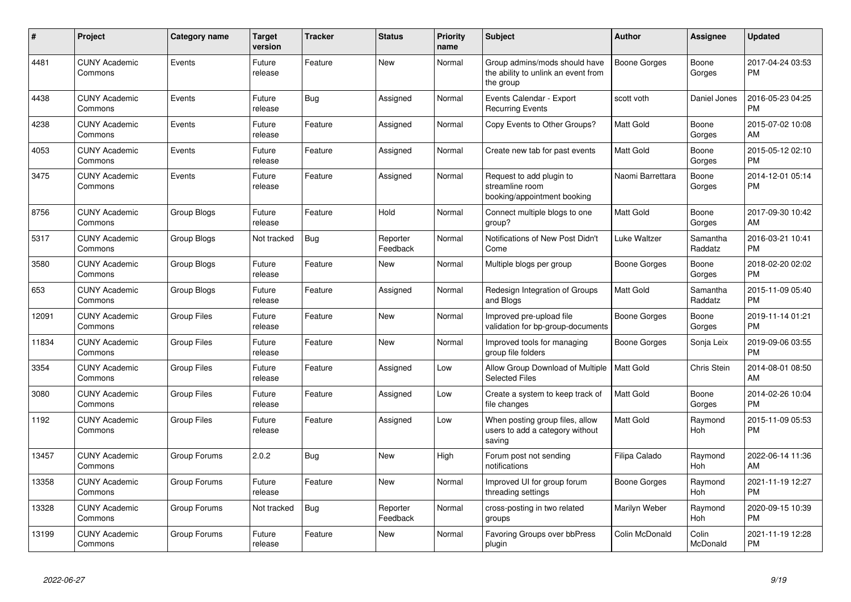| #     | <b>Project</b>                  | <b>Category name</b> | <b>Target</b><br>version | <b>Tracker</b> | <b>Status</b>        | Priority<br>name | Subject                                                                           | <b>Author</b>       | Assignee            | <b>Updated</b>                |
|-------|---------------------------------|----------------------|--------------------------|----------------|----------------------|------------------|-----------------------------------------------------------------------------------|---------------------|---------------------|-------------------------------|
| 4481  | <b>CUNY Academic</b><br>Commons | Events               | Future<br>release        | Feature        | <b>New</b>           | Normal           | Group admins/mods should have<br>the ability to unlink an event from<br>the group | <b>Boone Gorges</b> | Boone<br>Gorges     | 2017-04-24 03:53<br><b>PM</b> |
| 4438  | <b>CUNY Academic</b><br>Commons | Events               | Future<br>release        | Bug            | Assigned             | Normal           | Events Calendar - Export<br><b>Recurring Events</b>                               | scott voth          | Daniel Jones        | 2016-05-23 04:25<br>РM        |
| 4238  | <b>CUNY Academic</b><br>Commons | Events               | Future<br>release        | Feature        | Assigned             | Normal           | Copy Events to Other Groups?                                                      | Matt Gold           | Boone<br>Gorges     | 2015-07-02 10:08<br>AM        |
| 4053  | <b>CUNY Academic</b><br>Commons | Events               | Future<br>release        | Feature        | Assigned             | Normal           | Create new tab for past events                                                    | Matt Gold           | Boone<br>Gorges     | 2015-05-12 02:10<br>PМ        |
| 3475  | <b>CUNY Academic</b><br>Commons | Events               | Future<br>release        | Feature        | Assigned             | Normal           | Request to add plugin to<br>streamline room<br>booking/appointment booking        | Naomi Barrettara    | Boone<br>Gorges     | 2014-12-01 05:14<br><b>PM</b> |
| 8756  | <b>CUNY Academic</b><br>Commons | Group Blogs          | Future<br>release        | Feature        | Hold                 | Normal           | Connect multiple blogs to one<br>group?                                           | Matt Gold           | Boone<br>Gorges     | 2017-09-30 10:42<br>AM        |
| 5317  | <b>CUNY Academic</b><br>Commons | Group Blogs          | Not tracked              | <b>Bug</b>     | Reporter<br>Feedback | Normal           | Notifications of New Post Didn't<br>Come                                          | Luke Waltzer        | Samantha<br>Raddatz | 2016-03-21 10:41<br><b>PM</b> |
| 3580  | <b>CUNY Academic</b><br>Commons | Group Blogs          | Future<br>release        | Feature        | New                  | Normal           | Multiple blogs per group                                                          | Boone Gorges        | Boone<br>Gorges     | 2018-02-20 02:02<br><b>PM</b> |
| 653   | <b>CUNY Academic</b><br>Commons | Group Blogs          | Future<br>release        | Feature        | Assigned             | Normal           | Redesign Integration of Groups<br>and Blogs                                       | Matt Gold           | Samantha<br>Raddatz | 2015-11-09 05:40<br>PМ        |
| 12091 | <b>CUNY Academic</b><br>Commons | <b>Group Files</b>   | Future<br>release        | Feature        | New                  | Normal           | Improved pre-upload file<br>validation for bp-group-documents                     | Boone Gorges        | Boone<br>Gorges     | 2019-11-14 01:21<br><b>PM</b> |
| 11834 | <b>CUNY Academic</b><br>Commons | <b>Group Files</b>   | Future<br>release        | Feature        | <b>New</b>           | Normal           | Improved tools for managing<br>group file folders                                 | Boone Gorges        | Sonja Leix          | 2019-09-06 03:55<br><b>PM</b> |
| 3354  | <b>CUNY Academic</b><br>Commons | <b>Group Files</b>   | Future<br>release        | Feature        | Assigned             | Low              | Allow Group Download of Multiple<br><b>Selected Files</b>                         | Matt Gold           | Chris Stein         | 2014-08-01 08:50<br>AM        |
| 3080  | <b>CUNY Academic</b><br>Commons | <b>Group Files</b>   | Future<br>release        | Feature        | Assigned             | Low              | Create a system to keep track of<br>file changes                                  | Matt Gold           | Boone<br>Gorges     | 2014-02-26 10:04<br><b>PM</b> |
| 1192  | <b>CUNY Academic</b><br>Commons | <b>Group Files</b>   | Future<br>release        | Feature        | Assigned             | Low              | When posting group files, allow<br>users to add a category without<br>saving      | Matt Gold           | Raymond<br>Hoh      | 2015-11-09 05:53<br><b>PM</b> |
| 13457 | <b>CUNY Academic</b><br>Commons | Group Forums         | 2.0.2                    | Bug            | New                  | High             | Forum post not sending<br>notifications                                           | Filipa Calado       | Raymond<br>Hoh      | 2022-06-14 11:36<br>AM        |
| 13358 | <b>CUNY Academic</b><br>Commons | Group Forums         | Future<br>release        | Feature        | <b>New</b>           | Normal           | Improved UI for group forum<br>threading settings                                 | Boone Gorges        | Raymond<br>Hoh      | 2021-11-19 12:27<br><b>PM</b> |
| 13328 | <b>CUNY Academic</b><br>Commons | Group Forums         | Not tracked              | <b>Bug</b>     | Reporter<br>Feedback | Normal           | cross-posting in two related<br>groups                                            | Marilyn Weber       | Raymond<br>Hoh      | 2020-09-15 10:39<br><b>PM</b> |
| 13199 | <b>CUNY Academic</b><br>Commons | Group Forums         | Future<br>release        | Feature        | <b>New</b>           | Normal           | Favoring Groups over bbPress<br>plugin                                            | Colin McDonald      | Colin<br>McDonald   | 2021-11-19 12:28<br>PM        |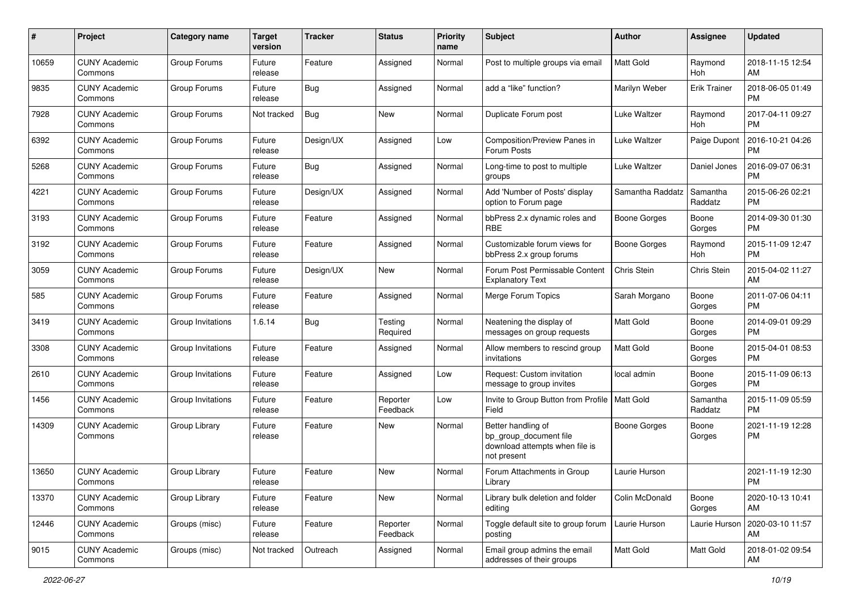| #     | Project                         | <b>Category name</b> | <b>Target</b><br>version | <b>Tracker</b> | <b>Status</b>        | <b>Priority</b><br>name | Subject                                                                                       | Author              | Assignee            | <b>Updated</b>                |
|-------|---------------------------------|----------------------|--------------------------|----------------|----------------------|-------------------------|-----------------------------------------------------------------------------------------------|---------------------|---------------------|-------------------------------|
| 10659 | <b>CUNY Academic</b><br>Commons | Group Forums         | Future<br>release        | Feature        | Assigned             | Normal                  | Post to multiple groups via email                                                             | <b>Matt Gold</b>    | Raymond<br>Hoh      | 2018-11-15 12:54<br>AM        |
| 9835  | <b>CUNY Academic</b><br>Commons | Group Forums         | Future<br>release        | <b>Bug</b>     | Assigned             | Normal                  | add a "like" function?                                                                        | Marilyn Weber       | <b>Erik Trainer</b> | 2018-06-05 01:49<br><b>PM</b> |
| 7928  | CUNY Academic<br>Commons        | Group Forums         | Not tracked              | <b>Bug</b>     | New                  | Normal                  | Duplicate Forum post                                                                          | Luke Waltzer        | Raymond<br>Hoh      | 2017-04-11 09:27<br><b>PM</b> |
| 6392  | <b>CUNY Academic</b><br>Commons | Group Forums         | Future<br>release        | Design/UX      | Assigned             | Low                     | Composition/Preview Panes in<br>Forum Posts                                                   | Luke Waltzer        | Paige Dupont        | 2016-10-21 04:26<br><b>PM</b> |
| 5268  | <b>CUNY Academic</b><br>Commons | Group Forums         | Future<br>release        | <b>Bug</b>     | Assigned             | Normal                  | Long-time to post to multiple<br>groups                                                       | Luke Waltzer        | Daniel Jones        | 2016-09-07 06:31<br><b>PM</b> |
| 4221  | <b>CUNY Academic</b><br>Commons | Group Forums         | Future<br>release        | Design/UX      | Assigned             | Normal                  | Add 'Number of Posts' display<br>option to Forum page                                         | Samantha Raddatz    | Samantha<br>Raddatz | 2015-06-26 02:21<br><b>PM</b> |
| 3193  | <b>CUNY Academic</b><br>Commons | Group Forums         | Future<br>release        | Feature        | Assigned             | Normal                  | bbPress 2.x dynamic roles and<br><b>RBE</b>                                                   | <b>Boone Gorges</b> | Boone<br>Gorges     | 2014-09-30 01:30<br><b>PM</b> |
| 3192  | <b>CUNY Academic</b><br>Commons | Group Forums         | Future<br>release        | Feature        | Assigned             | Normal                  | Customizable forum views for<br>bbPress 2.x group forums                                      | <b>Boone Gorges</b> | Raymond<br>Hoh      | 2015-11-09 12:47<br><b>PM</b> |
| 3059  | <b>CUNY Academic</b><br>Commons | Group Forums         | Future<br>release        | Design/UX      | New                  | Normal                  | Forum Post Permissable Content<br><b>Explanatory Text</b>                                     | Chris Stein         | Chris Stein         | 2015-04-02 11:27<br>AM        |
| 585   | <b>CUNY Academic</b><br>Commons | Group Forums         | Future<br>release        | Feature        | Assigned             | Normal                  | Merge Forum Topics                                                                            | Sarah Morgano       | Boone<br>Gorges     | 2011-07-06 04:11<br><b>PM</b> |
| 3419  | <b>CUNY Academic</b><br>Commons | Group Invitations    | 1.6.14                   | Bug            | Testing<br>Required  | Normal                  | Neatening the display of<br>messages on group requests                                        | <b>Matt Gold</b>    | Boone<br>Gorges     | 2014-09-01 09:29<br><b>PM</b> |
| 3308  | <b>CUNY Academic</b><br>Commons | Group Invitations    | Future<br>release        | Feature        | Assigned             | Normal                  | Allow members to rescind group<br>invitations                                                 | <b>Matt Gold</b>    | Boone<br>Gorges     | 2015-04-01 08:53<br><b>PM</b> |
| 2610  | <b>CUNY Academic</b><br>Commons | Group Invitations    | Future<br>release        | Feature        | Assigned             | Low                     | Request: Custom invitation<br>message to group invites                                        | local admin         | Boone<br>Gorges     | 2015-11-09 06:13<br><b>PM</b> |
| 1456  | <b>CUNY Academic</b><br>Commons | Group Invitations    | Future<br>release        | Feature        | Reporter<br>Feedback | Low                     | Invite to Group Button from Profile   Matt Gold<br>Field                                      |                     | Samantha<br>Raddatz | 2015-11-09 05:59<br><b>PM</b> |
| 14309 | <b>CUNY Academic</b><br>Commons | Group Library        | Future<br>release        | Feature        | New                  | Normal                  | Better handling of<br>bp_group_document file<br>download attempts when file is<br>not present | <b>Boone Gorges</b> | Boone<br>Gorges     | 2021-11-19 12:28<br><b>PM</b> |
| 13650 | CUNY Academic<br>Commons        | Group Library        | Future<br>release        | Feature        | New                  | Normal                  | Forum Attachments in Group<br>Library                                                         | Laurie Hurson       |                     | 2021-11-19 12:30<br>PM        |
| 13370 | <b>CUNY Academic</b><br>Commons | Group Library        | Future<br>release        | Feature        | New                  | Normal                  | Library bulk deletion and folder<br>editing                                                   | Colin McDonald      | Boone<br>Gorges     | 2020-10-13 10:41<br>AM        |
| 12446 | <b>CUNY Academic</b><br>Commons | Groups (misc)        | Future<br>release        | Feature        | Reporter<br>Feedback | Normal                  | Toggle default site to group forum<br>posting                                                 | Laurie Hurson       | Laurie Hurson       | 2020-03-10 11:57<br>AM        |
| 9015  | <b>CUNY Academic</b><br>Commons | Groups (misc)        | Not tracked              | Outreach       | Assigned             | Normal                  | Email group admins the email<br>addresses of their groups                                     | Matt Gold           | Matt Gold           | 2018-01-02 09:54<br>AM        |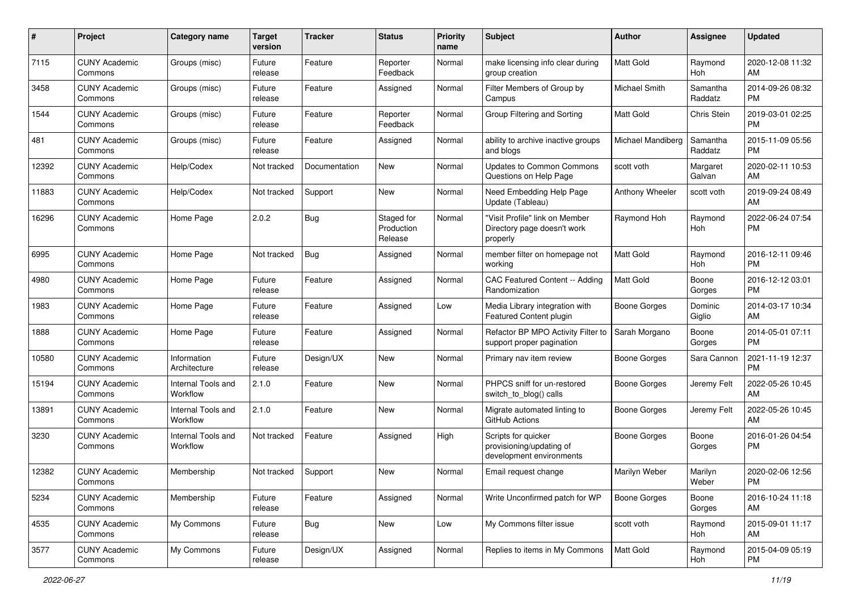| #     | Project                         | <b>Category name</b>           | <b>Target</b><br>version | <b>Tracker</b> | <b>Status</b>                       | <b>Priority</b><br>name | <b>Subject</b>                                                              | Author              | Assignee              | <b>Updated</b>                |
|-------|---------------------------------|--------------------------------|--------------------------|----------------|-------------------------------------|-------------------------|-----------------------------------------------------------------------------|---------------------|-----------------------|-------------------------------|
| 7115  | <b>CUNY Academic</b><br>Commons | Groups (misc)                  | Future<br>release        | Feature        | Reporter<br>Feedback                | Normal                  | make licensing info clear during<br>group creation                          | <b>Matt Gold</b>    | Raymond<br>Hoh        | 2020-12-08 11:32<br>AM        |
| 3458  | <b>CUNY Academic</b><br>Commons | Groups (misc)                  | Future<br>release        | Feature        | Assigned                            | Normal                  | Filter Members of Group by<br>Campus                                        | Michael Smith       | Samantha<br>Raddatz   | 2014-09-26 08:32<br><b>PM</b> |
| 1544  | <b>CUNY Academic</b><br>Commons | Groups (misc)                  | Future<br>release        | Feature        | Reporter<br>Feedback                | Normal                  | Group Filtering and Sorting                                                 | <b>Matt Gold</b>    | Chris Stein           | 2019-03-01 02:25<br><b>PM</b> |
| 481   | <b>CUNY Academic</b><br>Commons | Groups (misc)                  | Future<br>release        | Feature        | Assigned                            | Normal                  | ability to archive inactive groups<br>and blogs                             | Michael Mandiberg   | Samantha<br>Raddatz   | 2015-11-09 05:56<br><b>PM</b> |
| 12392 | <b>CUNY Academic</b><br>Commons | Help/Codex                     | Not tracked              | Documentation  | <b>New</b>                          | Normal                  | <b>Updates to Common Commons</b><br>Questions on Help Page                  | scott voth          | Margaret<br>Galvan    | 2020-02-11 10:53<br>AM        |
| 11883 | <b>CUNY Academic</b><br>Commons | Help/Codex                     | Not tracked              | Support        | <b>New</b>                          | Normal                  | Need Embedding Help Page<br>Update (Tableau)                                | Anthony Wheeler     | scott voth            | 2019-09-24 08:49<br>AM        |
| 16296 | <b>CUNY Academic</b><br>Commons | Home Page                      | 2.0.2                    | Bug            | Staged for<br>Production<br>Release | Normal                  | "Visit Profile" link on Member<br>Directory page doesn't work<br>properly   | Raymond Hoh         | Raymond<br><b>Hoh</b> | 2022-06-24 07:54<br><b>PM</b> |
| 6995  | <b>CUNY Academic</b><br>Commons | Home Page                      | Not tracked              | Bug            | Assigned                            | Normal                  | member filter on homepage not<br>workina                                    | Matt Gold           | Raymond<br>Hoh        | 2016-12-11 09:46<br><b>PM</b> |
| 4980  | <b>CUNY Academic</b><br>Commons | Home Page                      | Future<br>release        | Feature        | Assigned                            | Normal                  | CAC Featured Content -- Adding<br>Randomization                             | <b>Matt Gold</b>    | Boone<br>Gorges       | 2016-12-12 03:01<br><b>PM</b> |
| 1983  | <b>CUNY Academic</b><br>Commons | Home Page                      | Future<br>release        | Feature        | Assigned                            | Low                     | Media Library integration with<br>Featured Content plugin                   | <b>Boone Gorges</b> | Dominic<br>Giglio     | 2014-03-17 10:34<br>AM        |
| 1888  | <b>CUNY Academic</b><br>Commons | Home Page                      | Future<br>release        | Feature        | Assigned                            | Normal                  | Refactor BP MPO Activity Filter to<br>support proper pagination             | Sarah Morgano       | Boone<br>Gorges       | 2014-05-01 07:11<br><b>PM</b> |
| 10580 | <b>CUNY Academic</b><br>Commons | Information<br>Architecture    | Future<br>release        | Design/UX      | <b>New</b>                          | Normal                  | Primary nav item review                                                     | Boone Gorges        | Sara Cannon           | 2021-11-19 12:37<br><b>PM</b> |
| 15194 | <b>CUNY Academic</b><br>Commons | Internal Tools and<br>Workflow | 2.1.0                    | Feature        | <b>New</b>                          | Normal                  | PHPCS sniff for un-restored<br>switch_to_blog() calls                       | Boone Gorges        | Jeremy Felt           | 2022-05-26 10:45<br>AM        |
| 13891 | <b>CUNY Academic</b><br>Commons | Internal Tools and<br>Workflow | 2.1.0                    | Feature        | <b>New</b>                          | Normal                  | Migrate automated linting to<br>GitHub Actions                              | Boone Gorges        | Jeremy Felt           | 2022-05-26 10:45<br>AM        |
| 3230  | <b>CUNY Academic</b><br>Commons | Internal Tools and<br>Workflow | Not tracked              | Feature        | Assigned                            | High                    | Scripts for quicker<br>provisioning/updating of<br>development environments | <b>Boone Gorges</b> | Boone<br>Gorges       | 2016-01-26 04:54<br><b>PM</b> |
| 12382 | <b>CUNY Academic</b><br>Commons | Membership                     | Not tracked              | Support        | <b>New</b>                          | Normal                  | Email request change                                                        | Marilyn Weber       | Marilyn<br>Weber      | 2020-02-06 12:56<br>PM        |
| 5234  | <b>CUNY Academic</b><br>Commons | Membership                     | Future<br>release        | Feature        | Assigned                            | Normal                  | Write Unconfirmed patch for WP                                              | <b>Boone Gorges</b> | Boone<br>Gorges       | 2016-10-24 11:18<br>AM        |
| 4535  | <b>CUNY Academic</b><br>Commons | My Commons                     | Future<br>release        | Bug            | New                                 | Low                     | My Commons filter issue                                                     | scott voth          | Raymond<br>Hoh        | 2015-09-01 11:17<br>AM        |
| 3577  | <b>CUNY Academic</b><br>Commons | My Commons                     | Future<br>release        | Design/UX      | Assigned                            | Normal                  | Replies to items in My Commons                                              | Matt Gold           | Raymond<br>Hoh        | 2015-04-09 05:19<br>PM        |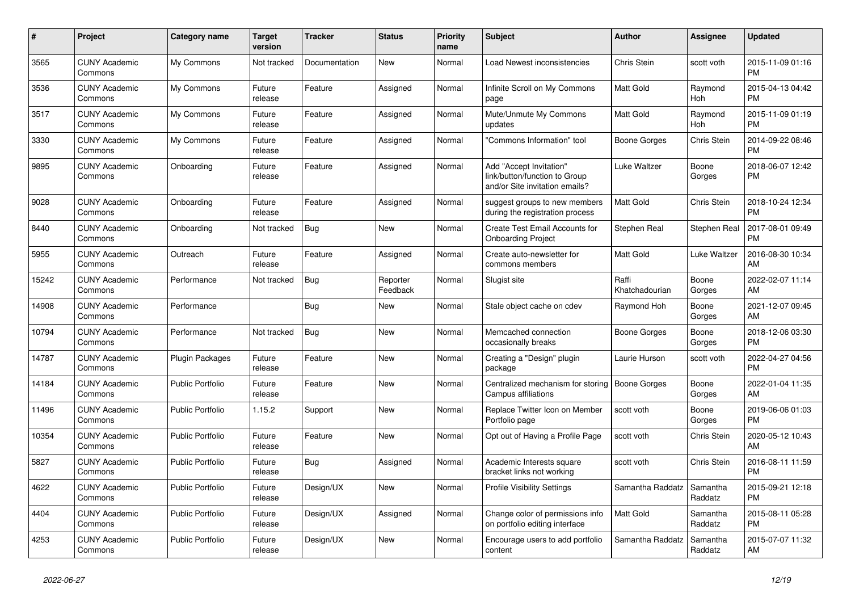| $\pmb{\#}$ | <b>Project</b>                  | Category name           | <b>Target</b><br>version | <b>Tracker</b> | <b>Status</b>        | <b>Priority</b><br>name | <b>Subject</b>                                                                             | <b>Author</b>           | <b>Assignee</b>       | <b>Updated</b>                |
|------------|---------------------------------|-------------------------|--------------------------|----------------|----------------------|-------------------------|--------------------------------------------------------------------------------------------|-------------------------|-----------------------|-------------------------------|
| 3565       | <b>CUNY Academic</b><br>Commons | My Commons              | Not tracked              | Documentation  | <b>New</b>           | Normal                  | Load Newest inconsistencies                                                                | <b>Chris Stein</b>      | scott voth            | 2015-11-09 01:16<br><b>PM</b> |
| 3536       | <b>CUNY Academic</b><br>Commons | My Commons              | Future<br>release        | Feature        | Assigned             | Normal                  | Infinite Scroll on My Commons<br>page                                                      | <b>Matt Gold</b>        | Raymond<br>Hoh        | 2015-04-13 04:42<br><b>PM</b> |
| 3517       | <b>CUNY Academic</b><br>Commons | My Commons              | Future<br>release        | Feature        | Assigned             | Normal                  | Mute/Unmute My Commons<br>updates                                                          | Matt Gold               | Raymond<br><b>Hoh</b> | 2015-11-09 01:19<br><b>PM</b> |
| 3330       | <b>CUNY Academic</b><br>Commons | My Commons              | Future<br>release        | Feature        | Assigned             | Normal                  | 'Commons Information" tool                                                                 | Boone Gorges            | Chris Stein           | 2014-09-22 08:46<br><b>PM</b> |
| 9895       | <b>CUNY Academic</b><br>Commons | Onboarding              | Future<br>release        | Feature        | Assigned             | Normal                  | Add "Accept Invitation"<br>link/button/function to Group<br>and/or Site invitation emails? | Luke Waltzer            | Boone<br>Gorges       | 2018-06-07 12:42<br><b>PM</b> |
| 9028       | <b>CUNY Academic</b><br>Commons | Onboarding              | Future<br>release        | Feature        | Assigned             | Normal                  | suggest groups to new members<br>during the registration process                           | <b>Matt Gold</b>        | Chris Stein           | 2018-10-24 12:34<br><b>PM</b> |
| 8440       | <b>CUNY Academic</b><br>Commons | Onboarding              | Not tracked              | <b>Bug</b>     | <b>New</b>           | Normal                  | Create Test Email Accounts for<br><b>Onboarding Project</b>                                | Stephen Real            | <b>Stephen Real</b>   | 2017-08-01 09:49<br><b>PM</b> |
| 5955       | <b>CUNY Academic</b><br>Commons | Outreach                | Future<br>release        | Feature        | Assigned             | Normal                  | Create auto-newsletter for<br>commons members                                              | Matt Gold               | Luke Waltzer          | 2016-08-30 10:34<br>AM        |
| 15242      | <b>CUNY Academic</b><br>Commons | Performance             | Not tracked              | <b>Bug</b>     | Reporter<br>Feedback | Normal                  | Slugist site                                                                               | Raffi<br>Khatchadourian | Boone<br>Gorges       | 2022-02-07 11:14<br>AM        |
| 14908      | <b>CUNY Academic</b><br>Commons | Performance             |                          | <b>Bug</b>     | <b>New</b>           | Normal                  | Stale object cache on cdev                                                                 | Raymond Hoh             | Boone<br>Gorges       | 2021-12-07 09:45<br>AM        |
| 10794      | <b>CUNY Academic</b><br>Commons | Performance             | Not tracked              | Bug            | <b>New</b>           | Normal                  | Memcached connection<br>occasionally breaks                                                | <b>Boone Gorges</b>     | Boone<br>Gorges       | 2018-12-06 03:30<br><b>PM</b> |
| 14787      | <b>CUNY Academic</b><br>Commons | <b>Plugin Packages</b>  | Future<br>release        | Feature        | <b>New</b>           | Normal                  | Creating a "Design" plugin<br>package                                                      | Laurie Hurson           | scott voth            | 2022-04-27 04:56<br><b>PM</b> |
| 14184      | <b>CUNY Academic</b><br>Commons | <b>Public Portfolio</b> | Future<br>release        | Feature        | <b>New</b>           | Normal                  | Centralized mechanism for storing<br>Campus affiliations                                   | <b>Boone Gorges</b>     | Boone<br>Gorges       | 2022-01-04 11:35<br>AM        |
| 11496      | <b>CUNY Academic</b><br>Commons | <b>Public Portfolio</b> | 1.15.2                   | Support        | <b>New</b>           | Normal                  | Replace Twitter Icon on Member<br>Portfolio page                                           | scott voth              | Boone<br>Gorges       | 2019-06-06 01:03<br><b>PM</b> |
| 10354      | <b>CUNY Academic</b><br>Commons | <b>Public Portfolio</b> | Future<br>release        | Feature        | <b>New</b>           | Normal                  | Opt out of Having a Profile Page                                                           | scott voth              | Chris Stein           | 2020-05-12 10:43<br>AM        |
| 5827       | <b>CUNY Academic</b><br>Commons | <b>Public Portfolio</b> | Future<br>release        | <b>Bug</b>     | Assigned             | Normal                  | Academic Interests square<br>bracket links not working                                     | scott voth              | Chris Stein           | 2016-08-11 11:59<br><b>PM</b> |
| 4622       | <b>CUNY Academic</b><br>Commons | <b>Public Portfolio</b> | Future<br>release        | Design/UX      | <b>New</b>           | Normal                  | <b>Profile Visibility Settings</b>                                                         | Samantha Raddatz        | Samantha<br>Raddatz   | 2015-09-21 12:18<br><b>PM</b> |
| 4404       | <b>CUNY Academic</b><br>Commons | <b>Public Portfolio</b> | Future<br>release        | Design/UX      | Assigned             | Normal                  | Change color of permissions info<br>on portfolio editing interface                         | Matt Gold               | Samantha<br>Raddatz   | 2015-08-11 05:28<br><b>PM</b> |
| 4253       | <b>CUNY Academic</b><br>Commons | <b>Public Portfolio</b> | Future<br>release        | Design/UX      | <b>New</b>           | Normal                  | Encourage users to add portfolio<br>content                                                | Samantha Raddatz        | Samantha<br>Raddatz   | 2015-07-07 11:32<br>AM        |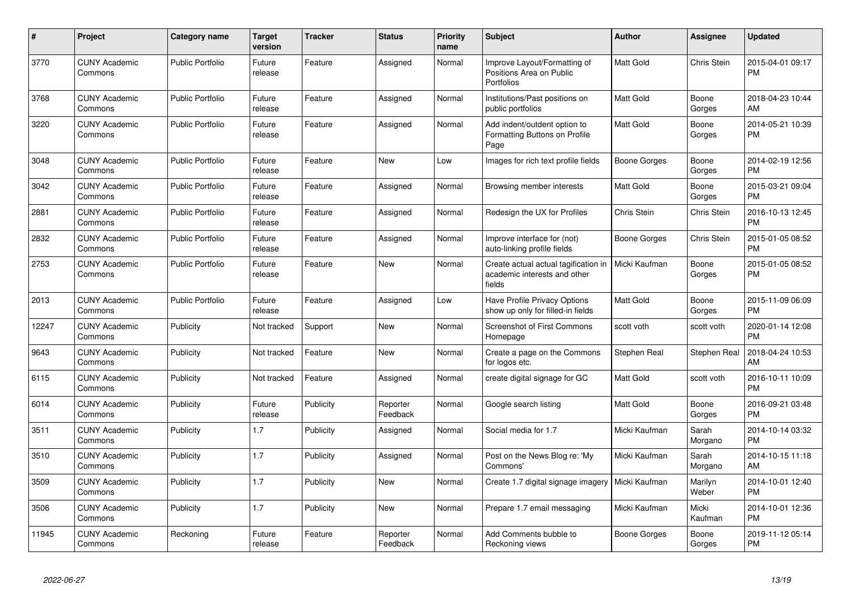| #     | <b>Project</b>                  | <b>Category name</b>    | <b>Target</b><br>version | Tracker   | <b>Status</b>        | Priority<br>name | <b>Subject</b>                                                                 | <b>Author</b>       | Assignee         | <b>Updated</b>                |
|-------|---------------------------------|-------------------------|--------------------------|-----------|----------------------|------------------|--------------------------------------------------------------------------------|---------------------|------------------|-------------------------------|
| 3770  | <b>CUNY Academic</b><br>Commons | <b>Public Portfolio</b> | Future<br>release        | Feature   | Assigned             | Normal           | Improve Layout/Formatting of<br>Positions Area on Public<br><b>Portfolios</b>  | <b>Matt Gold</b>    | Chris Stein      | 2015-04-01 09:17<br><b>PM</b> |
| 3768  | <b>CUNY Academic</b><br>Commons | <b>Public Portfolio</b> | Future<br>release        | Feature   | Assigned             | Normal           | Institutions/Past positions on<br>public portfolios                            | Matt Gold           | Boone<br>Gorges  | 2018-04-23 10:44<br>AM        |
| 3220  | <b>CUNY Academic</b><br>Commons | <b>Public Portfolio</b> | Future<br>release        | Feature   | Assigned             | Normal           | Add indent/outdent option to<br>Formatting Buttons on Profile<br>Page          | Matt Gold           | Boone<br>Gorges  | 2014-05-21 10:39<br><b>PM</b> |
| 3048  | <b>CUNY Academic</b><br>Commons | <b>Public Portfolio</b> | Future<br>release        | Feature   | <b>New</b>           | Low              | Images for rich text profile fields                                            | Boone Gorges        | Boone<br>Gorges  | 2014-02-19 12:56<br><b>PM</b> |
| 3042  | <b>CUNY Academic</b><br>Commons | <b>Public Portfolio</b> | Future<br>release        | Feature   | Assigned             | Normal           | Browsing member interests                                                      | Matt Gold           | Boone<br>Gorges  | 2015-03-21 09:04<br>PM        |
| 2881  | <b>CUNY Academic</b><br>Commons | <b>Public Portfolio</b> | Future<br>release        | Feature   | Assigned             | Normal           | Redesign the UX for Profiles                                                   | Chris Stein         | Chris Stein      | 2016-10-13 12:45<br>PM        |
| 2832  | <b>CUNY Academic</b><br>Commons | <b>Public Portfolio</b> | Future<br>release        | Feature   | Assigned             | Normal           | Improve interface for (not)<br>auto-linking profile fields                     | Boone Gorges        | Chris Stein      | 2015-01-05 08:52<br>РM        |
| 2753  | <b>CUNY Academic</b><br>Commons | <b>Public Portfolio</b> | Future<br>release        | Feature   | <b>New</b>           | Normal           | Create actual actual tagification in<br>academic interests and other<br>fields | Micki Kaufman       | Boone<br>Gorges  | 2015-01-05 08:52<br>PM        |
| 2013  | <b>CUNY Academic</b><br>Commons | <b>Public Portfolio</b> | Future<br>release        | Feature   | Assigned             | Low              | Have Profile Privacy Options<br>show up only for filled-in fields              | Matt Gold           | Boone<br>Gorges  | 2015-11-09 06:09<br><b>PM</b> |
| 12247 | <b>CUNY Academic</b><br>Commons | Publicity               | Not tracked              | Support   | <b>New</b>           | Normal           | <b>Screenshot of First Commons</b><br>Homepage                                 | scott voth          | scott voth       | 2020-01-14 12:08<br><b>PM</b> |
| 9643  | <b>CUNY Academic</b><br>Commons | Publicity               | Not tracked              | Feature   | <b>New</b>           | Normal           | Create a page on the Commons<br>for logos etc.                                 | Stephen Real        | Stephen Real     | 2018-04-24 10:53<br>AM        |
| 6115  | <b>CUNY Academic</b><br>Commons | Publicity               | Not tracked              | Feature   | Assigned             | Normal           | create digital signage for GC                                                  | Matt Gold           | scott voth       | 2016-10-11 10:09<br><b>PM</b> |
| 6014  | <b>CUNY Academic</b><br>Commons | Publicity               | Future<br>release        | Publicity | Reporter<br>Feedback | Normal           | Google search listing                                                          | Matt Gold           | Boone<br>Gorges  | 2016-09-21 03:48<br><b>PM</b> |
| 3511  | <b>CUNY Academic</b><br>Commons | Publicity               | 1.7                      | Publicity | Assigned             | Normal           | Social media for 1.7                                                           | Micki Kaufman       | Sarah<br>Morgano | 2014-10-14 03:32<br><b>PM</b> |
| 3510  | <b>CUNY Academic</b><br>Commons | Publicity               | 1.7                      | Publicity | Assigned             | Normal           | Post on the News Blog re: 'My<br>Commons'                                      | Micki Kaufman       | Sarah<br>Morgano | 2014-10-15 11:18<br>AM        |
| 3509  | <b>CUNY Academic</b><br>Commons | Publicity               | 1.7                      | Publicity | <b>New</b>           | Normal           | Create 1.7 digital signage imagery                                             | Micki Kaufman       | Marilyn<br>Weber | 2014-10-01 12:40<br><b>PM</b> |
| 3506  | <b>CUNY Academic</b><br>Commons | Publicity               | 1.7                      | Publicity | New                  | Normal           | Prepare 1.7 email messaging                                                    | Micki Kaufman       | Micki<br>Kaufman | 2014-10-01 12:36<br><b>PM</b> |
| 11945 | <b>CUNY Academic</b><br>Commons | Reckoning               | Future<br>release        | Feature   | Reporter<br>Feedback | Normal           | Add Comments bubble to<br>Reckoning views                                      | <b>Boone Gorges</b> | Boone<br>Gorges  | 2019-11-12 05:14<br><b>PM</b> |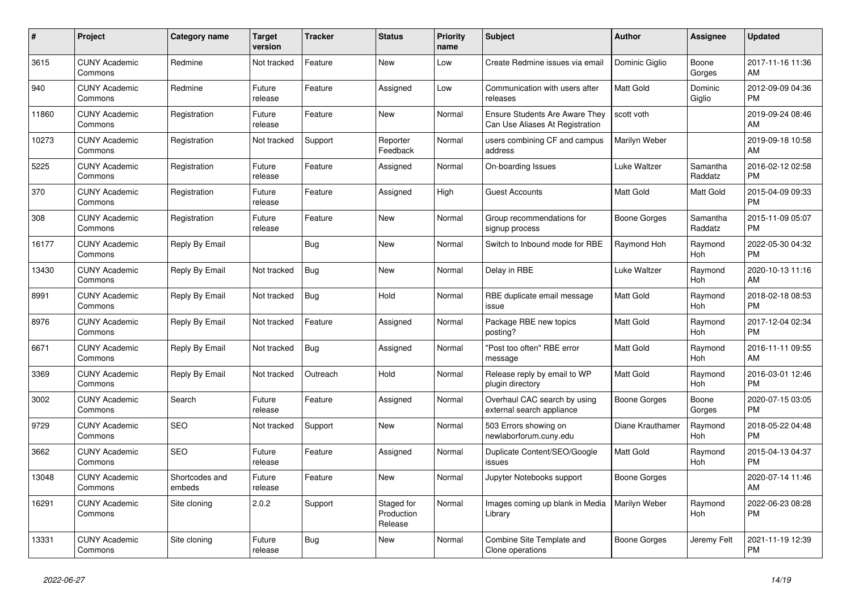| $\pmb{\#}$ | <b>Project</b>                  | Category name            | <b>Target</b><br>version | <b>Tracker</b> | <b>Status</b>                       | <b>Priority</b><br>name | <b>Subject</b>                                                           | <b>Author</b>    | <b>Assignee</b>       | <b>Updated</b>                |
|------------|---------------------------------|--------------------------|--------------------------|----------------|-------------------------------------|-------------------------|--------------------------------------------------------------------------|------------------|-----------------------|-------------------------------|
| 3615       | <b>CUNY Academic</b><br>Commons | Redmine                  | Not tracked              | Feature        | <b>New</b>                          | Low                     | Create Redmine issues via email                                          | Dominic Giglio   | Boone<br>Gorges       | 2017-11-16 11:36<br>AM        |
| 940        | <b>CUNY Academic</b><br>Commons | Redmine                  | Future<br>release        | Feature        | Assigned                            | Low                     | Communication with users after<br>releases                               | <b>Matt Gold</b> | Dominic<br>Giglio     | 2012-09-09 04:36<br><b>PM</b> |
| 11860      | <b>CUNY Academic</b><br>Commons | Registration             | Future<br>release        | Feature        | <b>New</b>                          | Normal                  | <b>Ensure Students Are Aware They</b><br>Can Use Aliases At Registration | scott voth       |                       | 2019-09-24 08:46<br>AM        |
| 10273      | <b>CUNY Academic</b><br>Commons | Registration             | Not tracked              | Support        | Reporter<br>Feedback                | Normal                  | users combining CF and campus<br>address                                 | Marilyn Weber    |                       | 2019-09-18 10:58<br>AM        |
| 5225       | <b>CUNY Academic</b><br>Commons | Registration             | Future<br>release        | Feature        | Assigned                            | Normal                  | On-boarding Issues                                                       | Luke Waltzer     | Samantha<br>Raddatz   | 2016-02-12 02:58<br><b>PM</b> |
| 370        | <b>CUNY Academic</b><br>Commons | Registration             | Future<br>release        | Feature        | Assigned                            | High                    | <b>Guest Accounts</b>                                                    | <b>Matt Gold</b> | Matt Gold             | 2015-04-09 09:33<br><b>PM</b> |
| 308        | <b>CUNY Academic</b><br>Commons | Registration             | Future<br>release        | Feature        | <b>New</b>                          | Normal                  | Group recommendations for<br>signup process                              | Boone Gorges     | Samantha<br>Raddatz   | 2015-11-09 05:07<br><b>PM</b> |
| 16177      | <b>CUNY Academic</b><br>Commons | Reply By Email           |                          | Bug            | <b>New</b>                          | Normal                  | Switch to Inbound mode for RBE                                           | Raymond Hoh      | Raymond<br>Hoh        | 2022-05-30 04:32<br><b>PM</b> |
| 13430      | <b>CUNY Academic</b><br>Commons | Reply By Email           | Not tracked              | <b>Bug</b>     | <b>New</b>                          | Normal                  | Delay in RBE                                                             | Luke Waltzer     | Raymond<br><b>Hoh</b> | 2020-10-13 11:16<br>AM        |
| 8991       | <b>CUNY Academic</b><br>Commons | Reply By Email           | Not tracked              | Bug            | Hold                                | Normal                  | RBE duplicate email message<br>issue                                     | <b>Matt Gold</b> | Raymond<br>Hoh        | 2018-02-18 08:53<br><b>PM</b> |
| 8976       | <b>CUNY Academic</b><br>Commons | Reply By Email           | Not tracked              | Feature        | Assigned                            | Normal                  | Package RBE new topics<br>posting?                                       | Matt Gold        | Raymond<br>Hoh        | 2017-12-04 02:34<br><b>PM</b> |
| 6671       | <b>CUNY Academic</b><br>Commons | Reply By Email           | Not tracked              | <b>Bug</b>     | Assigned                            | Normal                  | "Post too often" RBE error<br>message                                    | Matt Gold        | Raymond<br><b>Hoh</b> | 2016-11-11 09:55<br>AM        |
| 3369       | <b>CUNY Academic</b><br>Commons | Reply By Email           | Not tracked              | Outreach       | Hold                                | Normal                  | Release reply by email to WP<br>plugin directory                         | <b>Matt Gold</b> | Raymond<br><b>Hoh</b> | 2016-03-01 12:46<br><b>PM</b> |
| 3002       | <b>CUNY Academic</b><br>Commons | Search                   | Future<br>release        | Feature        | Assigned                            | Normal                  | Overhaul CAC search by using<br>external search appliance                | Boone Gorges     | Boone<br>Gorges       | 2020-07-15 03:05<br><b>PM</b> |
| 9729       | <b>CUNY Academic</b><br>Commons | <b>SEO</b>               | Not tracked              | Support        | <b>New</b>                          | Normal                  | 503 Errors showing on<br>newlaborforum.cuny.edu                          | Diane Krauthamer | Raymond<br>Hoh        | 2018-05-22 04:48<br><b>PM</b> |
| 3662       | <b>CUNY Academic</b><br>Commons | <b>SEO</b>               | Future<br>release        | Feature        | Assigned                            | Normal                  | Duplicate Content/SEO/Google<br>issues                                   | <b>Matt Gold</b> | Raymond<br>Hoh        | 2015-04-13 04:37<br><b>PM</b> |
| 13048      | <b>CUNY Academic</b><br>Commons | Shortcodes and<br>embeds | Future<br>release        | Feature        | <b>New</b>                          | Normal                  | Jupyter Notebooks support                                                | Boone Gorges     |                       | 2020-07-14 11:46<br>AM        |
| 16291      | <b>CUNY Academic</b><br>Commons | Site cloning             | 2.0.2                    | Support        | Staged for<br>Production<br>Release | Normal                  | Images coming up blank in Media<br>Library                               | Marilyn Weber    | Raymond<br>Hoh        | 2022-06-23 08:28<br><b>PM</b> |
| 13331      | <b>CUNY Academic</b><br>Commons | Site cloning             | Future<br>release        | Bug            | <b>New</b>                          | Normal                  | Combine Site Template and<br>Clone operations                            | Boone Gorges     | Jeremy Felt           | 2021-11-19 12:39<br><b>PM</b> |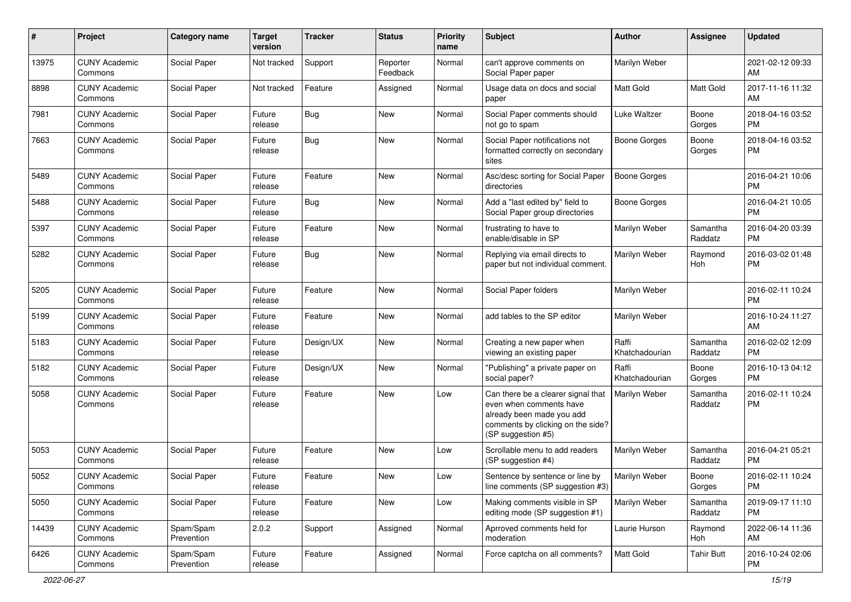| #     | Project                         | <b>Category name</b>    | <b>Target</b><br>version | <b>Tracker</b> | <b>Status</b>        | <b>Priority</b><br>name | <b>Subject</b>                                                                                                                                        | Author                  | Assignee            | <b>Updated</b>                |
|-------|---------------------------------|-------------------------|--------------------------|----------------|----------------------|-------------------------|-------------------------------------------------------------------------------------------------------------------------------------------------------|-------------------------|---------------------|-------------------------------|
| 13975 | <b>CUNY Academic</b><br>Commons | Social Paper            | Not tracked              | Support        | Reporter<br>Feedback | Normal                  | can't approve comments on<br>Social Paper paper                                                                                                       | Marilyn Weber           |                     | 2021-02-12 09:33<br>AM        |
| 8898  | <b>CUNY Academic</b><br>Commons | Social Paper            | Not tracked              | Feature        | Assigned             | Normal                  | Usage data on docs and social<br>paper                                                                                                                | <b>Matt Gold</b>        | Matt Gold           | 2017-11-16 11:32<br>AM        |
| 7981  | <b>CUNY Academic</b><br>Commons | Social Paper            | Future<br>release        | <b>Bug</b>     | New                  | Normal                  | Social Paper comments should<br>not go to spam                                                                                                        | Luke Waltzer            | Boone<br>Gorges     | 2018-04-16 03:52<br><b>PM</b> |
| 7663  | <b>CUNY Academic</b><br>Commons | Social Paper            | Future<br>release        | <b>Bug</b>     | <b>New</b>           | Normal                  | Social Paper notifications not<br>formatted correctly on secondary<br>sites                                                                           | Boone Gorges            | Boone<br>Gorges     | 2018-04-16 03:52<br><b>PM</b> |
| 5489  | <b>CUNY Academic</b><br>Commons | Social Paper            | Future<br>release        | Feature        | New                  | Normal                  | Asc/desc sorting for Social Paper<br>directories                                                                                                      | <b>Boone Gorges</b>     |                     | 2016-04-21 10:06<br><b>PM</b> |
| 5488  | <b>CUNY Academic</b><br>Commons | Social Paper            | Future<br>release        | <b>Bug</b>     | New                  | Normal                  | Add a "last edited by" field to<br>Social Paper group directories                                                                                     | <b>Boone Gorges</b>     |                     | 2016-04-21 10:05<br><b>PM</b> |
| 5397  | <b>CUNY Academic</b><br>Commons | Social Paper            | Future<br>release        | Feature        | New                  | Normal                  | frustrating to have to<br>enable/disable in SP                                                                                                        | Marilyn Weber           | Samantha<br>Raddatz | 2016-04-20 03:39<br><b>PM</b> |
| 5282  | <b>CUNY Academic</b><br>Commons | Social Paper            | Future<br>release        | <b>Bug</b>     | <b>New</b>           | Normal                  | Replying via email directs to<br>paper but not individual comment.                                                                                    | Marilyn Weber           | Raymond<br>Hoh      | 2016-03-02 01:48<br><b>PM</b> |
| 5205  | <b>CUNY Academic</b><br>Commons | Social Paper            | Future<br>release        | Feature        | <b>New</b>           | Normal                  | Social Paper folders                                                                                                                                  | Marilyn Weber           |                     | 2016-02-11 10:24<br><b>PM</b> |
| 5199  | <b>CUNY Academic</b><br>Commons | Social Paper            | Future<br>release        | Feature        | <b>New</b>           | Normal                  | add tables to the SP editor                                                                                                                           | Marilyn Weber           |                     | 2016-10-24 11:27<br>AM        |
| 5183  | <b>CUNY Academic</b><br>Commons | Social Paper            | Future<br>release        | Design/UX      | New                  | Normal                  | Creating a new paper when<br>viewing an existing paper                                                                                                | Raffi<br>Khatchadourian | Samantha<br>Raddatz | 2016-02-02 12:09<br><b>PM</b> |
| 5182  | <b>CUNY Academic</b><br>Commons | Social Paper            | Future<br>release        | Design/UX      | New                  | Normal                  | "Publishing" a private paper on<br>social paper?                                                                                                      | Raffi<br>Khatchadourian | Boone<br>Gorges     | 2016-10-13 04:12<br><b>PM</b> |
| 5058  | <b>CUNY Academic</b><br>Commons | Social Paper            | Future<br>release        | Feature        | New                  | Low                     | Can there be a clearer signal that<br>even when comments have<br>already been made you add<br>comments by clicking on the side?<br>(SP suggestion #5) | Marilyn Weber           | Samantha<br>Raddatz | 2016-02-11 10:24<br><b>PM</b> |
| 5053  | <b>CUNY Academic</b><br>Commons | Social Paper            | Future<br>release        | Feature        | New                  | Low                     | Scrollable menu to add readers<br>(SP suggestion #4)                                                                                                  | Marilyn Weber           | Samantha<br>Raddatz | 2016-04-21 05:21<br><b>PM</b> |
| 5052  | <b>CUNY Academic</b><br>Commons | Social Paper            | Future<br>release        | Feature        | New                  | Low                     | Sentence by sentence or line by<br>line comments (SP suggestion #3)                                                                                   | Marilyn Weber           | Boone<br>Gorges     | 2016-02-11 10:24<br>PM        |
| 5050  | <b>CUNY Academic</b><br>Commons | Social Paper            | Future<br>release        | Feature        | New                  | Low                     | Making comments visible in SP<br>editing mode (SP suggestion #1)                                                                                      | Marilyn Weber           | Samantha<br>Raddatz | 2019-09-17 11:10<br>PM        |
| 14439 | <b>CUNY Academic</b><br>Commons | Spam/Spam<br>Prevention | 2.0.2                    | Support        | Assigned             | Normal                  | Aprroved comments held for<br>moderation                                                                                                              | Laurie Hurson           | Raymond<br>Hoh      | 2022-06-14 11:36<br>AM        |
| 6426  | <b>CUNY Academic</b><br>Commons | Spam/Spam<br>Prevention | Future<br>release        | Feature        | Assigned             | Normal                  | Force captcha on all comments?                                                                                                                        | Matt Gold               | <b>Tahir Butt</b>   | 2016-10-24 02:06<br>PM        |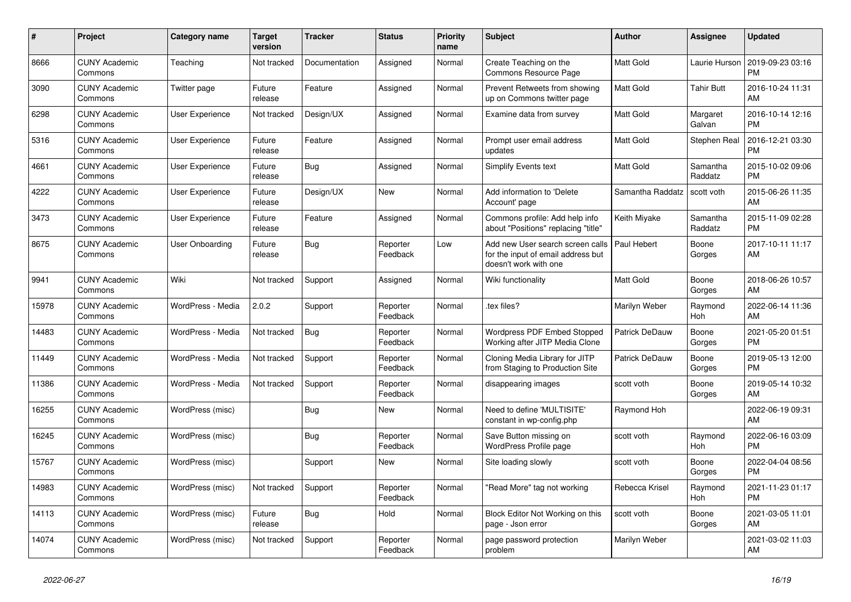| #     | Project                         | Category name          | <b>Target</b><br>version | <b>Tracker</b> | <b>Status</b>        | <b>Priority</b><br>name | <b>Subject</b>                                                                                  | <b>Author</b>         | <b>Assignee</b>       | <b>Updated</b>                |
|-------|---------------------------------|------------------------|--------------------------|----------------|----------------------|-------------------------|-------------------------------------------------------------------------------------------------|-----------------------|-----------------------|-------------------------------|
| 8666  | <b>CUNY Academic</b><br>Commons | Teaching               | Not tracked              | Documentation  | Assigned             | Normal                  | Create Teaching on the<br>Commons Resource Page                                                 | Matt Gold             | Laurie Hurson         | 2019-09-23 03:16<br><b>PM</b> |
| 3090  | <b>CUNY Academic</b><br>Commons | Twitter page           | Future<br>release        | Feature        | Assigned             | Normal                  | Prevent Retweets from showing<br>up on Commons twitter page                                     | <b>Matt Gold</b>      | Tahir Butt            | 2016-10-24 11:31<br>AM        |
| 6298  | <b>CUNY Academic</b><br>Commons | User Experience        | Not tracked              | Design/UX      | Assigned             | Normal                  | Examine data from survey                                                                        | Matt Gold             | Margaret<br>Galvan    | 2016-10-14 12:16<br><b>PM</b> |
| 5316  | <b>CUNY Academic</b><br>Commons | <b>User Experience</b> | Future<br>release        | Feature        | Assigned             | Normal                  | Prompt user email address<br>updates                                                            | Matt Gold             | Stephen Real          | 2016-12-21 03:30<br><b>PM</b> |
| 4661  | <b>CUNY Academic</b><br>Commons | <b>User Experience</b> | Future<br>release        | Bug            | Assigned             | Normal                  | Simplify Events text                                                                            | <b>Matt Gold</b>      | Samantha<br>Raddatz   | 2015-10-02 09:06<br><b>PM</b> |
| 4222  | <b>CUNY Academic</b><br>Commons | <b>User Experience</b> | Future<br>release        | Design/UX      | New                  | Normal                  | Add information to 'Delete<br>Account' page                                                     | Samantha Raddatz      | scott voth            | 2015-06-26 11:35<br>AM        |
| 3473  | <b>CUNY Academic</b><br>Commons | <b>User Experience</b> | Future<br>release        | Feature        | Assigned             | Normal                  | Commons profile: Add help info<br>about "Positions" replacing "title"                           | Keith Miyake          | Samantha<br>Raddatz   | 2015-11-09 02:28<br><b>PM</b> |
| 8675  | <b>CUNY Academic</b><br>Commons | <b>User Onboarding</b> | Future<br>release        | Bug            | Reporter<br>Feedback | Low                     | Add new User search screen calls<br>for the input of email address but<br>doesn't work with one | Paul Hebert           | Boone<br>Gorges       | 2017-10-11 11:17<br>AM        |
| 9941  | <b>CUNY Academic</b><br>Commons | Wiki                   | Not tracked              | Support        | Assigned             | Normal                  | Wiki functionality                                                                              | Matt Gold             | Boone<br>Gorges       | 2018-06-26 10:57<br>AM        |
| 15978 | <b>CUNY Academic</b><br>Commons | WordPress - Media      | 2.0.2                    | Support        | Reporter<br>Feedback | Normal                  | .tex files?                                                                                     | Marilyn Weber         | Raymond<br>Hoh        | 2022-06-14 11:36<br>AM        |
| 14483 | <b>CUNY Academic</b><br>Commons | WordPress - Media      | Not tracked              | Bug            | Reporter<br>Feedback | Normal                  | Wordpress PDF Embed Stopped<br>Working after JITP Media Clone                                   | <b>Patrick DeDauw</b> | Boone<br>Gorges       | 2021-05-20 01:51<br><b>PM</b> |
| 11449 | <b>CUNY Academic</b><br>Commons | WordPress - Media      | Not tracked              | Support        | Reporter<br>Feedback | Normal                  | Cloning Media Library for JITP<br>from Staging to Production Site                               | Patrick DeDauw        | Boone<br>Gorges       | 2019-05-13 12:00<br><b>PM</b> |
| 11386 | <b>CUNY Academic</b><br>Commons | WordPress - Media      | Not tracked              | Support        | Reporter<br>Feedback | Normal                  | disappearing images                                                                             | scott voth            | Boone<br>Gorges       | 2019-05-14 10:32<br>AM        |
| 16255 | <b>CUNY Academic</b><br>Commons | WordPress (misc)       |                          | Bug            | <b>New</b>           | Normal                  | Need to define 'MULTISITE'<br>constant in wp-config.php                                         | Raymond Hoh           |                       | 2022-06-19 09:31<br>AM        |
| 16245 | <b>CUNY Academic</b><br>Commons | WordPress (misc)       |                          | <b>Bug</b>     | Reporter<br>Feedback | Normal                  | Save Button missing on<br>WordPress Profile page                                                | scott voth            | Raymond<br><b>Hoh</b> | 2022-06-16 03:09<br><b>PM</b> |
| 15767 | <b>CUNY Academic</b><br>Commons | WordPress (misc)       |                          | Support        | <b>New</b>           | Normal                  | Site loading slowly                                                                             | scott voth            | Boone<br>Gorges       | 2022-04-04 08:56<br><b>PM</b> |
| 14983 | <b>CUNY Academic</b><br>Commons | WordPress (misc)       | Not tracked              | Support        | Reporter<br>Feedback | Normal                  | 'Read More" tag not working                                                                     | Rebecca Krisel        | Raymond<br>Hoh        | 2021-11-23 01:17<br><b>PM</b> |
| 14113 | <b>CUNY Academic</b><br>Commons | WordPress (misc)       | Future<br>release        | Bug            | Hold                 | Normal                  | Block Editor Not Working on this<br>page - Json error                                           | scott voth            | Boone<br>Gorges       | 2021-03-05 11:01<br>AM        |
| 14074 | <b>CUNY Academic</b><br>Commons | WordPress (misc)       | Not tracked              | Support        | Reporter<br>Feedback | Normal                  | page password protection<br>problem                                                             | Marilyn Weber         |                       | 2021-03-02 11:03<br>AM        |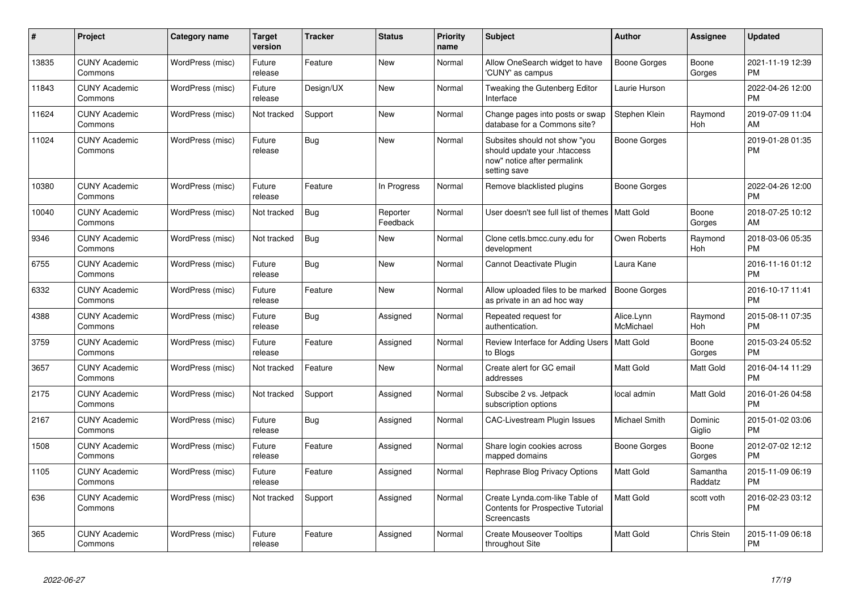| $\#$  | Project                         | <b>Category name</b> | <b>Target</b><br>version | <b>Tracker</b> | <b>Status</b>        | <b>Priority</b><br>name | <b>Subject</b>                                                                                               | <b>Author</b>           | Assignee              | <b>Updated</b>                |
|-------|---------------------------------|----------------------|--------------------------|----------------|----------------------|-------------------------|--------------------------------------------------------------------------------------------------------------|-------------------------|-----------------------|-------------------------------|
| 13835 | <b>CUNY Academic</b><br>Commons | WordPress (misc)     | Future<br>release        | Feature        | <b>New</b>           | Normal                  | Allow OneSearch widget to have<br>'CUNY' as campus                                                           | Boone Gorges            | Boone<br>Gorges       | 2021-11-19 12:39<br><b>PM</b> |
| 11843 | <b>CUNY Academic</b><br>Commons | WordPress (misc)     | Future<br>release        | Design/UX      | <b>New</b>           | Normal                  | Tweaking the Gutenberg Editor<br>Interface                                                                   | Laurie Hurson           |                       | 2022-04-26 12:00<br><b>PM</b> |
| 11624 | <b>CUNY Academic</b><br>Commons | WordPress (misc)     | Not tracked              | Support        | <b>New</b>           | Normal                  | Change pages into posts or swap<br>database for a Commons site?                                              | Stephen Klein           | Raymond<br>Hoh        | 2019-07-09 11:04<br>AM        |
| 11024 | <b>CUNY Academic</b><br>Commons | WordPress (misc)     | Future<br>release        | Bug            | New                  | Normal                  | Subsites should not show "you<br>should update your .htaccess<br>now" notice after permalink<br>setting save | Boone Gorges            |                       | 2019-01-28 01:35<br><b>PM</b> |
| 10380 | <b>CUNY Academic</b><br>Commons | WordPress (misc)     | Future<br>release        | Feature        | In Progress          | Normal                  | Remove blacklisted plugins                                                                                   | Boone Gorges            |                       | 2022-04-26 12:00<br><b>PM</b> |
| 10040 | <b>CUNY Academic</b><br>Commons | WordPress (misc)     | Not tracked              | <b>Bug</b>     | Reporter<br>Feedback | Normal                  | User doesn't see full list of themes                                                                         | Matt Gold               | Boone<br>Gorges       | 2018-07-25 10:12<br>AM        |
| 9346  | <b>CUNY Academic</b><br>Commons | WordPress (misc)     | Not tracked              | <b>Bug</b>     | New                  | Normal                  | Clone cetls.bmcc.cuny.edu for<br>development                                                                 | Owen Roberts            | Raymond<br><b>Hoh</b> | 2018-03-06 05:35<br><b>PM</b> |
| 6755  | <b>CUNY Academic</b><br>Commons | WordPress (misc)     | Future<br>release        | Bug            | <b>New</b>           | Normal                  | Cannot Deactivate Plugin                                                                                     | Laura Kane              |                       | 2016-11-16 01:12<br><b>PM</b> |
| 6332  | <b>CUNY Academic</b><br>Commons | WordPress (misc)     | Future<br>release        | Feature        | New                  | Normal                  | Allow uploaded files to be marked<br>as private in an ad hoc way                                             | <b>Boone Gorges</b>     |                       | 2016-10-17 11:41<br><b>PM</b> |
| 4388  | <b>CUNY Academic</b><br>Commons | WordPress (misc)     | Future<br>release        | Bug            | Assigned             | Normal                  | Repeated request for<br>authentication.                                                                      | Alice.Lynn<br>McMichael | Raymond<br><b>Hoh</b> | 2015-08-11 07:35<br><b>PM</b> |
| 3759  | <b>CUNY Academic</b><br>Commons | WordPress (misc)     | Future<br>release        | Feature        | Assigned             | Normal                  | Review Interface for Adding Users   Matt Gold<br>to Blogs                                                    |                         | Boone<br>Gorges       | 2015-03-24 05:52<br><b>PM</b> |
| 3657  | <b>CUNY Academic</b><br>Commons | WordPress (misc)     | Not tracked              | Feature        | <b>New</b>           | Normal                  | Create alert for GC email<br>addresses                                                                       | Matt Gold               | Matt Gold             | 2016-04-14 11:29<br><b>PM</b> |
| 2175  | <b>CUNY Academic</b><br>Commons | WordPress (misc)     | Not tracked              | Support        | Assigned             | Normal                  | Subscibe 2 vs. Jetpack<br>subscription options                                                               | local admin             | Matt Gold             | 2016-01-26 04:58<br><b>PM</b> |
| 2167  | <b>CUNY Academic</b><br>Commons | WordPress (misc)     | Future<br>release        | <b>Bug</b>     | Assigned             | Normal                  | CAC-Livestream Plugin Issues                                                                                 | Michael Smith           | Dominic<br>Giglio     | 2015-01-02 03:06<br><b>PM</b> |
| 1508  | <b>CUNY Academic</b><br>Commons | WordPress (misc)     | Future<br>release        | Feature        | Assigned             | Normal                  | Share login cookies across<br>mapped domains                                                                 | Boone Gorges            | Boone<br>Gorges       | 2012-07-02 12:12<br>PM        |
| 1105  | <b>CUNY Academic</b><br>Commons | WordPress (misc)     | Future<br>release        | Feature        | Assigned             | Normal                  | Rephrase Blog Privacy Options                                                                                | Matt Gold               | Samantha<br>Raddatz   | 2015-11-09 06:19<br><b>PM</b> |
| 636   | <b>CUNY Academic</b><br>Commons | WordPress (misc)     | Not tracked              | Support        | Assigned             | Normal                  | Create Lynda.com-like Table of<br><b>Contents for Prospective Tutorial</b><br>Screencasts                    | Matt Gold               | scott voth            | 2016-02-23 03:12<br><b>PM</b> |
| 365   | <b>CUNY Academic</b><br>Commons | WordPress (misc)     | Future<br>release        | Feature        | Assigned             | Normal                  | <b>Create Mouseover Tooltips</b><br>throughout Site                                                          | Matt Gold               | Chris Stein           | 2015-11-09 06:18<br><b>PM</b> |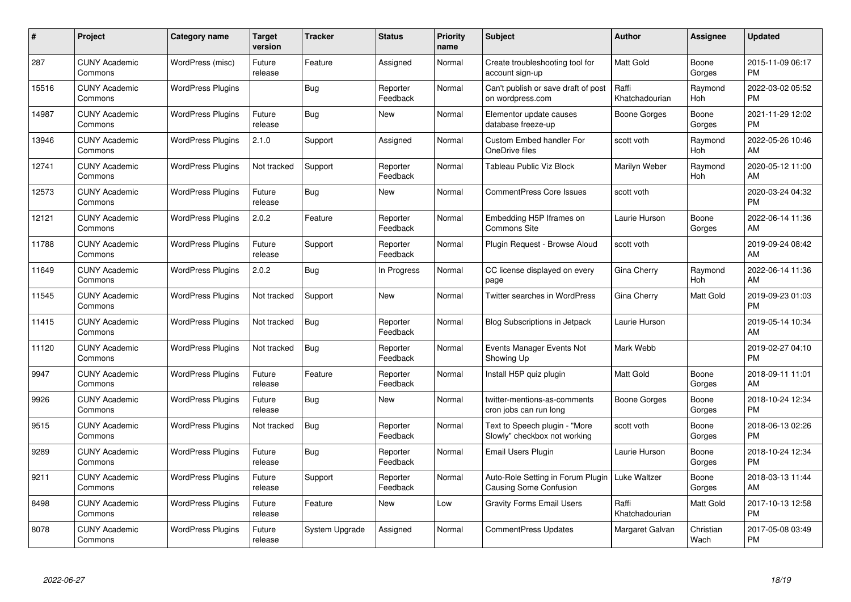| $\#$  | Project                         | <b>Category name</b>     | <b>Target</b><br>version | <b>Tracker</b> | <b>Status</b>        | <b>Priority</b><br>name | <b>Subject</b>                                                | Author                  | <b>Assignee</b>   | <b>Updated</b>                |
|-------|---------------------------------|--------------------------|--------------------------|----------------|----------------------|-------------------------|---------------------------------------------------------------|-------------------------|-------------------|-------------------------------|
| 287   | <b>CUNY Academic</b><br>Commons | WordPress (misc)         | Future<br>release        | Feature        | Assigned             | Normal                  | Create troubleshooting tool for<br>account sign-up            | <b>Matt Gold</b>        | Boone<br>Gorges   | 2015-11-09 06:17<br><b>PM</b> |
| 15516 | <b>CUNY Academic</b><br>Commons | <b>WordPress Plugins</b> |                          | Bug            | Reporter<br>Feedback | Normal                  | Can't publish or save draft of post<br>on wordpress.com       | Raffi<br>Khatchadourian | Raymond<br>Hoh    | 2022-03-02 05:52<br><b>PM</b> |
| 14987 | <b>CUNY Academic</b><br>Commons | <b>WordPress Plugins</b> | Future<br>release        | <b>Bug</b>     | <b>New</b>           | Normal                  | Elementor update causes<br>database freeze-up                 | Boone Gorges            | Boone<br>Gorges   | 2021-11-29 12:02<br><b>PM</b> |
| 13946 | <b>CUNY Academic</b><br>Commons | <b>WordPress Plugins</b> | 2.1.0                    | Support        | Assigned             | Normal                  | <b>Custom Embed handler For</b><br>OneDrive files             | scott voth              | Raymond<br>Hoh    | 2022-05-26 10:46<br>AM        |
| 12741 | <b>CUNY Academic</b><br>Commons | <b>WordPress Plugins</b> | Not tracked              | Support        | Reporter<br>Feedback | Normal                  | Tableau Public Viz Block                                      | Marilyn Weber           | Raymond<br>Hoh    | 2020-05-12 11:00<br>AM        |
| 12573 | <b>CUNY Academic</b><br>Commons | <b>WordPress Plugins</b> | Future<br>release        | <b>Bug</b>     | <b>New</b>           | Normal                  | <b>CommentPress Core Issues</b>                               | scott voth              |                   | 2020-03-24 04:32<br><b>PM</b> |
| 12121 | <b>CUNY Academic</b><br>Commons | <b>WordPress Plugins</b> | 2.0.2                    | Feature        | Reporter<br>Feedback | Normal                  | Embedding H5P Iframes on<br>Commons Site                      | Laurie Hurson           | Boone<br>Gorges   | 2022-06-14 11:36<br>AM        |
| 11788 | <b>CUNY Academic</b><br>Commons | <b>WordPress Plugins</b> | Future<br>release        | Support        | Reporter<br>Feedback | Normal                  | Plugin Request - Browse Aloud                                 | scott voth              |                   | 2019-09-24 08:42<br>AM        |
| 11649 | <b>CUNY Academic</b><br>Commons | <b>WordPress Plugins</b> | 2.0.2                    | <b>Bug</b>     | In Progress          | Normal                  | CC license displayed on every<br>page                         | Gina Cherry             | Raymond<br>Hoh    | 2022-06-14 11:36<br>AM        |
| 11545 | <b>CUNY Academic</b><br>Commons | <b>WordPress Plugins</b> | Not tracked              | Support        | <b>New</b>           | Normal                  | <b>Twitter searches in WordPress</b>                          | Gina Cherry             | <b>Matt Gold</b>  | 2019-09-23 01:03<br><b>PM</b> |
| 11415 | <b>CUNY Academic</b><br>Commons | <b>WordPress Plugins</b> | Not tracked              | <b>Bug</b>     | Reporter<br>Feedback | Normal                  | <b>Blog Subscriptions in Jetpack</b>                          | Laurie Hurson           |                   | 2019-05-14 10:34<br>AM        |
| 11120 | <b>CUNY Academic</b><br>Commons | <b>WordPress Plugins</b> | Not tracked              | <b>Bug</b>     | Reporter<br>Feedback | Normal                  | Events Manager Events Not<br>Showing Up                       | Mark Webb               |                   | 2019-02-27 04:10<br><b>PM</b> |
| 9947  | <b>CUNY Academic</b><br>Commons | <b>WordPress Plugins</b> | Future<br>release        | Feature        | Reporter<br>Feedback | Normal                  | Install H5P quiz plugin                                       | <b>Matt Gold</b>        | Boone<br>Gorges   | 2018-09-11 11:01<br>AM        |
| 9926  | <b>CUNY Academic</b><br>Commons | <b>WordPress Plugins</b> | Future<br>release        | Bug            | <b>New</b>           | Normal                  | twitter-mentions-as-comments<br>cron jobs can run long        | Boone Gorges            | Boone<br>Gorges   | 2018-10-24 12:34<br><b>PM</b> |
| 9515  | <b>CUNY Academic</b><br>Commons | <b>WordPress Plugins</b> | Not tracked              | <b>Bug</b>     | Reporter<br>Feedback | Normal                  | Text to Speech plugin - "More<br>Slowly" checkbox not working | scott voth              | Boone<br>Gorges   | 2018-06-13 02:26<br><b>PM</b> |
| 9289  | <b>CUNY Academic</b><br>Commons | <b>WordPress Plugins</b> | Future<br>release        | <b>Bug</b>     | Reporter<br>Feedback | Normal                  | Email Users Plugin                                            | Laurie Hurson           | Boone<br>Gorges   | 2018-10-24 12:34<br><b>PM</b> |
| 9211  | <b>CUNY Academic</b><br>Commons | <b>WordPress Plugins</b> | Future<br>release        | Support        | Reporter<br>Feedback | Normal                  | Auto-Role Setting in Forum Plugin<br>Causing Some Confusion   | Luke Waltzer            | Boone<br>Gorges   | 2018-03-13 11:44<br>AM        |
| 8498  | <b>CUNY Academic</b><br>Commons | <b>WordPress Plugins</b> | Future<br>release        | Feature        | New                  | Low                     | <b>Gravity Forms Email Users</b>                              | Raffi<br>Khatchadourian | Matt Gold         | 2017-10-13 12:58<br><b>PM</b> |
| 8078  | <b>CUNY Academic</b><br>Commons | <b>WordPress Plugins</b> | Future<br>release        | System Upgrade | Assigned             | Normal                  | CommentPress Updates                                          | Margaret Galvan         | Christian<br>Wach | 2017-05-08 03:49<br>PM        |